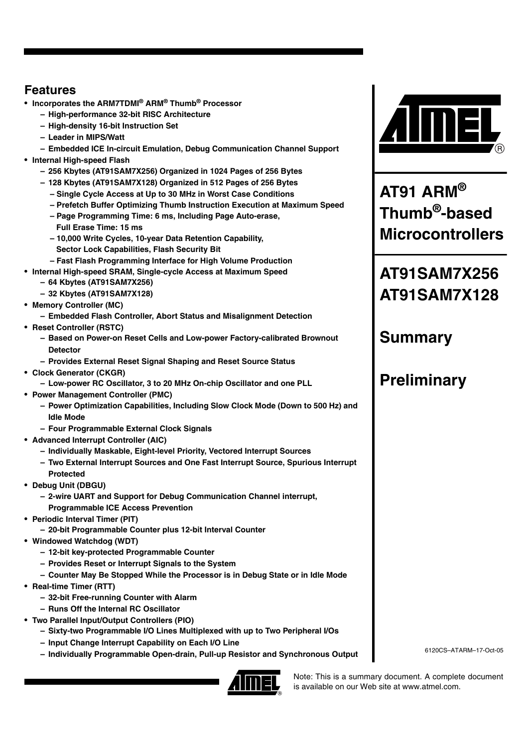# <span id="page-0-0"></span>**Features**

- **Incorporates the ARM7TDMI® ARM® Thumb® Processor**
	- **High-performance 32-bit RISC Architecture**
	- **High-density 16-bit Instruction Set**
	- **Leader in MIPS/Watt**
	- **Embedded ICE In-circuit Emulation, Debug Communication Channel Support**
- **Internal High-speed Flash** 
	- **256 Kbytes (AT91SAM7X256) Organized in 1024 Pages of 256 Bytes**
	- **128 Kbytes (AT91SAM7X128) Organized in 512 Pages of 256 Bytes**
		- **Single Cycle Access at Up to 30 MHz in Worst Case Conditions**
		- **Prefetch Buffer Optimizing Thumb Instruction Execution at Maximum Speed**
		- **Page Programming Time: 6 ms, Including Page Auto-erase, Full Erase Time: 15 ms**
		- **10,000 Write Cycles, 10-year Data Retention Capability, Sector Lock Capabilities, Flash Security Bit**
		- **Fast Flash Programming Interface for High Volume Production**
- **Internal High-speed SRAM, Single-cycle Access at Maximum Speed – 64 Kbytes (AT91SAM7X256)**
	- **32 Kbytes (AT91SAM7X128)**
- **Memory Controller (MC)**
	- **Embedded Flash Controller, Abort Status and Misalignment Detection**
- **Reset Controller (RSTC)**
	- **Based on Power-on Reset Cells and Low-power Factory-calibrated Brownout Detector**
	- **Provides External Reset Signal Shaping and Reset Source Status**
- **Clock Generator (CKGR) – Low-power RC Oscillator, 3 to 20 MHz On-chip Oscillator and one PLL**
- **Power Management Controller (PMC)**
	- **Power Optimization Capabilities, Including Slow Clock Mode (Down to 500 Hz) and Idle Mode**
	- **Four Programmable External Clock Signals**
- **Advanced Interrupt Controller (AIC)**
	- **Individually Maskable, Eight-level Priority, Vectored Interrupt Sources**
	- **Two External Interrupt Sources and One Fast Interrupt Source, Spurious Interrupt Protected**
- **Debug Unit (DBGU)**
	- **2-wire UART and Support for Debug Communication Channel interrupt, Programmable ICE Access Prevention**
- **Periodic Interval Timer (PIT)**
	- **20-bit Programmable Counter plus 12-bit Interval Counter**
- **Windowed Watchdog (WDT)**
	- **12-bit key-protected Programmable Counter**
	- **Provides Reset or Interrupt Signals to the System**
	- **Counter May Be Stopped While the Processor is in Debug State or in Idle Mode**
- **Real-time Timer (RTT)**
	- **32-bit Free-running Counter with Alarm**
	- **Runs Off the Internal RC Oscillator**
- **Two Parallel Input/Output Controllers (PIO)** 
	- **Sixty-two Programmable I/O Lines Multiplexed with up to Two Peripheral I/Os** 
		- **Input Change Interrupt Capability on Each I/O Line**
		- **Individually Programmable Open-drain, Pull-up Resistor and Synchronous Output**





**AT91 ARM® Thumb®-based Microcontrollers**

# **AT91SAM7X256 AT91SAM7X128**

# **Summary**

# **Preliminary**

6120CS–ATARM–17-Oct-05

Note: This is a summary document. A complete document is available on our Web site at www.atmel.com.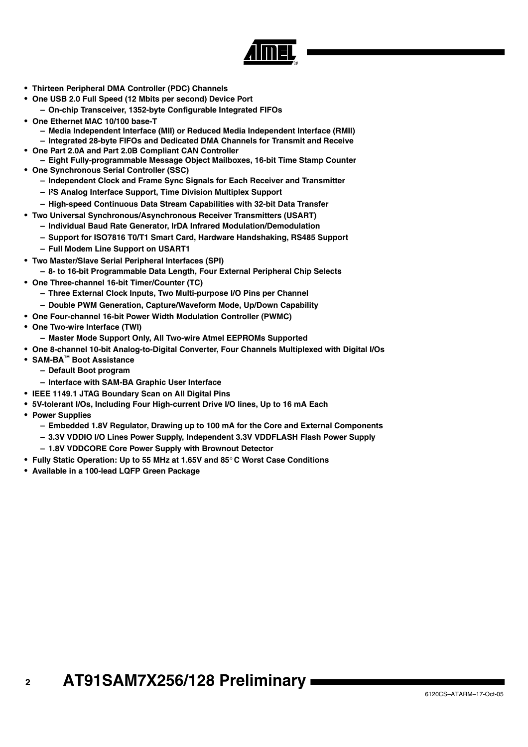

- **Thirteen Peripheral DMA Controller (PDC) Channels**
- **One USB 2.0 Full Speed (12 Mbits per second) Device Port – On-chip Transceiver, 1352-byte Configurable Integrated FIFOs**
- **One Ethernet MAC 10/100 base-T**
	- **Media Independent Interface (MII) or Reduced Media Independent Interface (RMII) – Integrated 28-byte FIFOs and Dedicated DMA Channels for Transmit and Receive**
- **One Part 2.0A and Part 2.0B Compliant CAN Controller**
- **Eight Fully-programmable Message Object Mailboxes, 16-bit Time Stamp Counter** • **One Synchronous Serial Controller (SSC)**
	- **Independent Clock and Frame Sync Signals for Each Receiver and Transmitter**
	- **I²S Analog Interface Support, Time Division Multiplex Support**
	- **High-speed Continuous Data Stream Capabilities with 32-bit Data Transfer**
- **Two Universal Synchronous/Asynchronous Receiver Transmitters (USART)**
	- **Individual Baud Rate Generator, IrDA Infrared Modulation/Demodulation**
	- **Support for ISO7816 T0/T1 Smart Card, Hardware Handshaking, RS485 Support**
	- **Full Modem Line Support on USART1**
- **Two Master/Slave Serial Peripheral Interfaces (SPI)**
- **8- to 16-bit Programmable Data Length, Four External Peripheral Chip Selects**
- **One Three-channel 16-bit Timer/Counter (TC)**
	- **Three External Clock Inputs, Two Multi-purpose I/O Pins per Channel**
	- **Double PWM Generation, Capture/Waveform Mode, Up/Down Capability**
- **One Four-channel 16-bit Power Width Modulation Controller (PWMC)**
- **One Two-wire Interface (TWI)**
	- **Master Mode Support Only, All Two-wire Atmel EEPROMs Supported**
- **One 8-channel 10-bit Analog-to-Digital Converter, Four Channels Multiplexed with Digital I/Os**
- **SAM-BA™ Boot Assistance**
	- **Default Boot program**
	- **Interface with SAM-BA Graphic User Interface**
- **IEEE 1149.1 JTAG Boundary Scan on All Digital Pins**
- **5V-tolerant I/Os, Including Four High-current Drive I/O lines, Up to 16 mA Each**
- **Power Supplies**
	- **Embedded 1.8V Regulator, Drawing up to 100 mA for the Core and External Components**
	- **3.3V VDDIO I/O Lines Power Supply, Independent 3.3V VDDFLASH Flash Power Supply**
	- **1.8V VDDCORE Core Power Supply with Brownout Detector**
- **Fully Static Operation: Up to 55 MHz at 1.65V and 85**° **C Worst Case Conditions**
- **Available in a 100-lead LQFP Green Package**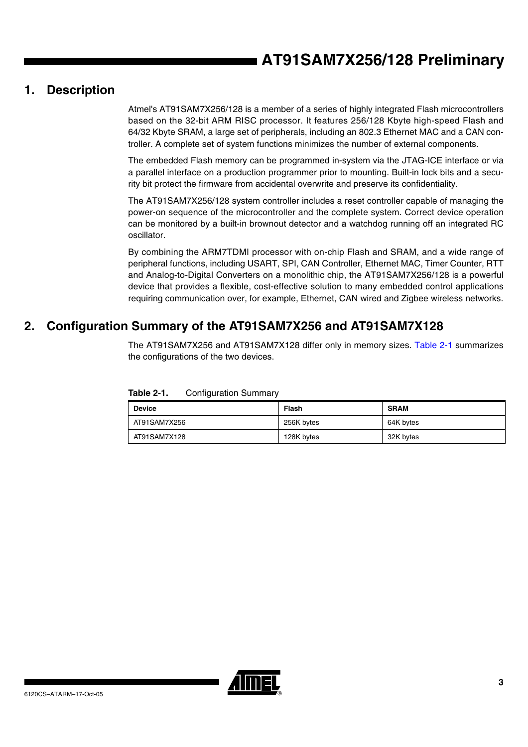# **1. Description**

Atmel's AT91SAM7X256/128 is a member of a series of highly integrated Flash microcontrollers based on the 32-bit ARM RISC processor. It features 256/128 Kbyte high-speed Flash and 64/32 Kbyte SRAM, a large set of peripherals, including an 802.3 Ethernet MAC and a CAN controller. A complete set of system functions minimizes the number of external components.

The embedded Flash memory can be programmed in-system via the JTAG-ICE interface or via a parallel interface on a production programmer prior to mounting. Built-in lock bits and a security bit protect the firmware from accidental overwrite and preserve its confidentiality.

The AT91SAM7X256/128 system controller includes a reset controller capable of managing the power-on sequence of the microcontroller and the complete system. Correct device operation can be monitored by a built-in brownout detector and a watchdog running off an integrated RC oscillator.

By combining the ARM7TDMI processor with on-chip Flash and SRAM, and a wide range of peripheral functions, including USART, SPI, CAN Controller, Ethernet MAC, Timer Counter, RTT and Analog-to-Digital Converters on a monolithic chip, the AT91SAM7X256/128 is a powerful device that provides a flexible, cost-effective solution to many embedded control applications requiring communication over, for example, Ethernet, CAN wired and Zigbee wireless networks.

# **2. Configuration Summary of the AT91SAM7X256 and AT91SAM7X128**

The AT91SAM7X256 and AT91SAM7X128 differ only in memory sizes. [Table 2-1](#page-2-0) summarizes the configurations of the two devices.

| <b>Device</b> | Flash      | <b>SRAM</b> |
|---------------|------------|-------------|
| AT91SAM7X256  | 256K bytes | 64K bytes   |
| AT91SAM7X128  | 128K bytes | 32K bytes   |

<span id="page-2-0"></span>**Table 2-1.** Configuration Summary

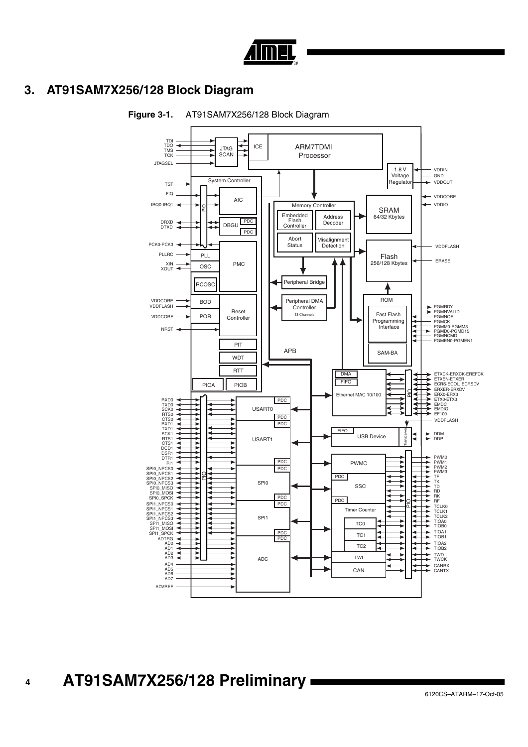

# **3. AT91SAM7X256/128 Block Diagram**



### <span id="page-3-0"></span>**Figure 3-1.** AT91SAM7X256/128 Block Diagram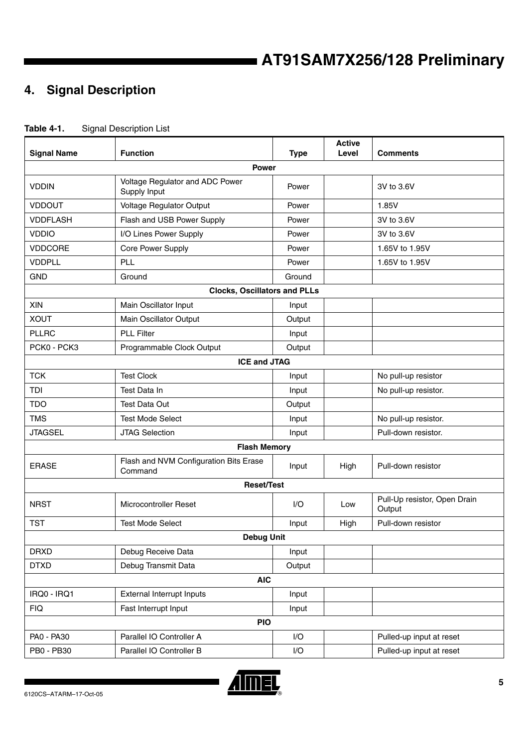# **4. Signal Description**

<span id="page-4-0"></span>

| Table 4-1. | <b>Signal Description List</b> |
|------------|--------------------------------|
|------------|--------------------------------|

| <b>Signal Name</b> | <b>Function</b>                                   | <b>Type</b> | <b>Active</b><br>Level | <b>Comments</b>                        |
|--------------------|---------------------------------------------------|-------------|------------------------|----------------------------------------|
|                    | <b>Power</b>                                      |             |                        |                                        |
| <b>VDDIN</b>       | Voltage Regulator and ADC Power<br>Supply Input   | Power       |                        | 3V to 3.6V                             |
| <b>VDDOUT</b>      | Voltage Regulator Output                          | Power       |                        | 1.85V                                  |
| <b>VDDFLASH</b>    | Flash and USB Power Supply                        | Power       |                        | 3V to 3.6V                             |
| <b>VDDIO</b>       | I/O Lines Power Supply                            | Power       |                        | 3V to 3.6V                             |
| <b>VDDCORE</b>     | Core Power Supply                                 | Power       |                        | 1.65V to 1.95V                         |
| VDDPLL             | PLL                                               | Power       |                        | 1.65V to 1.95V                         |
| <b>GND</b>         | Ground                                            | Ground      |                        |                                        |
|                    | <b>Clocks, Oscillators and PLLs</b>               |             |                        |                                        |
| XIN                | Main Oscillator Input                             | Input       |                        |                                        |
| <b>XOUT</b>        | Main Oscillator Output                            | Output      |                        |                                        |
| <b>PLLRC</b>       | <b>PLL Filter</b>                                 | Input       |                        |                                        |
| PCK0 - PCK3        | Programmable Clock Output                         | Output      |                        |                                        |
|                    | <b>ICE and JTAG</b>                               |             |                        |                                        |
| <b>TCK</b>         | <b>Test Clock</b>                                 | Input       |                        | No pull-up resistor                    |
| TDI                | Test Data In                                      | Input       |                        | No pull-up resistor.                   |
| <b>TDO</b>         | <b>Test Data Out</b>                              | Output      |                        |                                        |
| <b>TMS</b>         | <b>Test Mode Select</b>                           | Input       |                        | No pull-up resistor.                   |
| <b>JTAGSEL</b>     | <b>JTAG Selection</b>                             | Input       |                        | Pull-down resistor.                    |
|                    | <b>Flash Memory</b>                               |             |                        |                                        |
| <b>ERASE</b>       | Flash and NVM Configuration Bits Erase<br>Command | Input       | High                   | Pull-down resistor                     |
|                    | <b>Reset/Test</b>                                 |             |                        |                                        |
| <b>NRST</b>        | <b>Microcontroller Reset</b>                      | 1/O         | Low                    | Pull-Up resistor, Open Drain<br>Output |
| <b>TST</b>         | <b>Test Mode Select</b>                           | Input       | High                   | Pull-down resistor                     |
|                    | <b>Debug Unit</b>                                 |             |                        |                                        |
| <b>DRXD</b>        | Debug Receive Data                                | Input       |                        |                                        |
| <b>DTXD</b>        | Debug Transmit Data                               | Output      |                        |                                        |
|                    | <b>AIC</b>                                        |             |                        |                                        |
| IRQ0 - IRQ1        | External Interrupt Inputs                         | Input       |                        |                                        |
| <b>FIQ</b>         | Fast Interrupt Input                              | Input       |                        |                                        |
|                    | <b>PIO</b>                                        |             |                        |                                        |
| PA0 - PA30         | Parallel IO Controller A                          | I/O         |                        | Pulled-up input at reset               |
| PB0 - PB30         | Parallel IO Controller B                          | I/O         |                        | Pulled-up input at reset               |

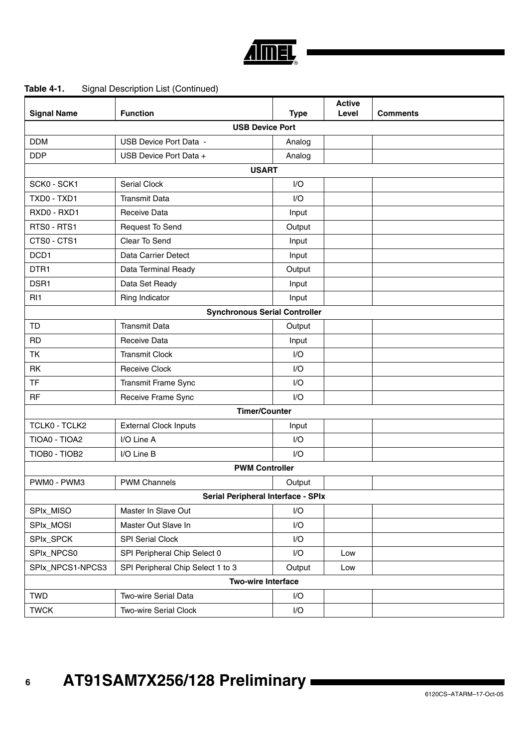

# **USB Device Port** DDM USB Device Port Data - Analog DDP USB Device Port Data + Analog **USART** SCK0 - SCK1 Serial Clock SCK0 - SCK1 I/O TXD0 - TXD1 Transmit Data I/O RXD0 - RXD1 Receive Data **Input** RTS0 - RTS1 Request To Send Research RTS0 - RTS1 CTS0 - CTS1 Clear To Send Input DCD1 Data Carrier Detect **Input** DTR1 Data Terminal Ready DTR1 Output DSR1 Data Set Ready DSR1 Input RI1 Ring Indicator Ring of Boston Ring and Ring Input **Synchronous Serial Controller** TD **Transmit Data** Transmit Data **Transmit Data** Providence of *Qutput* RD Receive Data **Input** TK Transmit Clock Transmit Clock I/O RK Receive Clock Receive Clock Receive All NO TF **Transmit Frame Sync Transmit Frame Sync** RF Receive Frame Sync **III** I/O **Timer/Counter** TCLK0 - TCLK2 | External Clock Inputs | Input TIOA0 - TIOA2 I/O Line A I/O I/O Line A TIOB0 - TIOB2 I/O Line B I/O **PWM Controller** PWM0 - PWM3 PWM Channels PWM Channels PWM Coutput **Serial Peripheral Interface - SPIx** SPIx\_MISO Master In Slave Out I/O SPIx\_MOSI Master Out Slave In I/O SPIx\_SPCK SPI Serial Clock I/O SPIx\_NPCS0 SPI Peripheral Chip Select 0 | I/O | Low SPIx\_NPCS1-NPCS3 SPI Peripheral Chip Select 1 to 3 Output Low **Two-wire Interface** TWD TWO-wire Serial Data Internal Internal Internal Internal Internal Internal Internal Internal Internal Internal Internal Internal Internal Internal Internal Internal Internal Internal Internal Internal Internal Internal **Signal Name Function Function Type Active Level Comments**

#### **Table 4-1.** Signal Description List (Continued)

TWCK TWO-wire Serial Clock TWCK I/O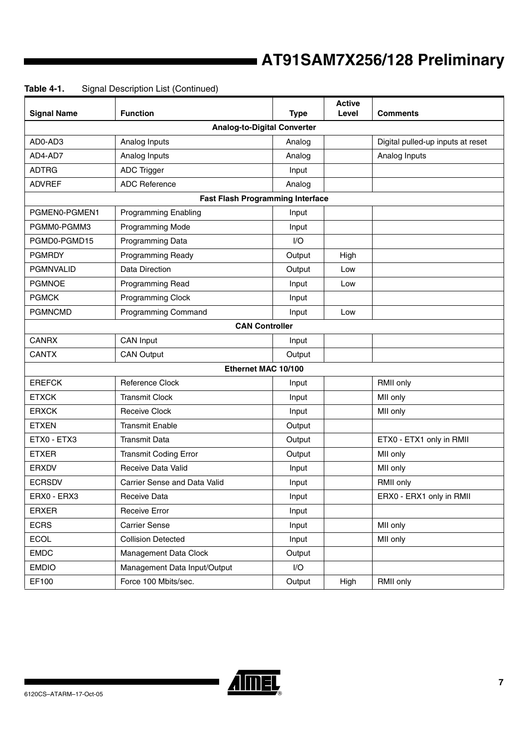| <b>Signal Name</b> | <b>Function</b>                         | <b>Type</b> | <b>Active</b><br>Level | <b>Comments</b>                   |  |  |  |  |
|--------------------|-----------------------------------------|-------------|------------------------|-----------------------------------|--|--|--|--|
|                    | <b>Analog-to-Digital Converter</b>      |             |                        |                                   |  |  |  |  |
| AD0-AD3            | Analog Inputs                           | Analog      |                        | Digital pulled-up inputs at reset |  |  |  |  |
| AD4-AD7            | Analog Inputs                           | Analog      |                        | Analog Inputs                     |  |  |  |  |
| <b>ADTRG</b>       | <b>ADC Trigger</b>                      | Input       |                        |                                   |  |  |  |  |
| <b>ADVREF</b>      | <b>ADC Reference</b>                    | Analog      |                        |                                   |  |  |  |  |
|                    | <b>Fast Flash Programming Interface</b> |             |                        |                                   |  |  |  |  |
| PGMEN0-PGMEN1      | <b>Programming Enabling</b>             | Input       |                        |                                   |  |  |  |  |
| PGMM0-PGMM3        | Programming Mode                        | Input       |                        |                                   |  |  |  |  |
| PGMD0-PGMD15       | Programming Data                        | I/O         |                        |                                   |  |  |  |  |
| <b>PGMRDY</b>      | <b>Programming Ready</b>                | Output      | High                   |                                   |  |  |  |  |
| <b>PGMNVALID</b>   | <b>Data Direction</b>                   | Output      | Low                    |                                   |  |  |  |  |
| <b>PGMNOE</b>      | Programming Read                        | Input       | Low                    |                                   |  |  |  |  |
| <b>PGMCK</b>       | Programming Clock                       | Input       |                        |                                   |  |  |  |  |
| <b>PGMNCMD</b>     | <b>Programming Command</b>              | Input       | Low                    |                                   |  |  |  |  |
|                    | <b>CAN Controller</b>                   |             |                        |                                   |  |  |  |  |
| <b>CANRX</b>       | CAN Input                               | Input       |                        |                                   |  |  |  |  |
| <b>CANTX</b>       | <b>CAN Output</b>                       | Output      |                        |                                   |  |  |  |  |
|                    | Ethernet MAC 10/100                     |             |                        |                                   |  |  |  |  |
| <b>EREFCK</b>      | <b>Reference Clock</b>                  | Input       |                        | RMII only                         |  |  |  |  |
| <b>ETXCK</b>       | <b>Transmit Clock</b>                   | Input       |                        | MII only                          |  |  |  |  |
| <b>ERXCK</b>       | <b>Receive Clock</b>                    | Input       |                        | MII only                          |  |  |  |  |
| <b>ETXEN</b>       | <b>Transmit Enable</b>                  | Output      |                        |                                   |  |  |  |  |
| ETX0 - ETX3        | <b>Transmit Data</b>                    | Output      |                        | ETX0 - ETX1 only in RMII          |  |  |  |  |
| <b>ETXER</b>       | <b>Transmit Coding Error</b>            | Output      |                        | MII only                          |  |  |  |  |
| <b>ERXDV</b>       | Receive Data Valid                      | Input       |                        | MII only                          |  |  |  |  |
| <b>ECRSDV</b>      | Carrier Sense and Data Valid            | Input       |                        | RMII only                         |  |  |  |  |
| ERX0 - ERX3        | Receive Data                            | Input       |                        | ERX0 - ERX1 only in RMII          |  |  |  |  |
| <b>ERXER</b>       | <b>Receive Error</b>                    | Input       |                        |                                   |  |  |  |  |
| <b>ECRS</b>        | <b>Carrier Sense</b>                    | Input       |                        | MII only                          |  |  |  |  |
| <b>ECOL</b>        | <b>Collision Detected</b>               | Input       |                        | MII only                          |  |  |  |  |
| <b>EMDC</b>        | Management Data Clock                   | Output      |                        |                                   |  |  |  |  |
| <b>EMDIO</b>       | Management Data Input/Output            | I/O         |                        |                                   |  |  |  |  |
| EF100              | Force 100 Mbits/sec.                    | Output      | High                   | RMII only                         |  |  |  |  |

# **Table 4-1.** Signal Description List (Continued)

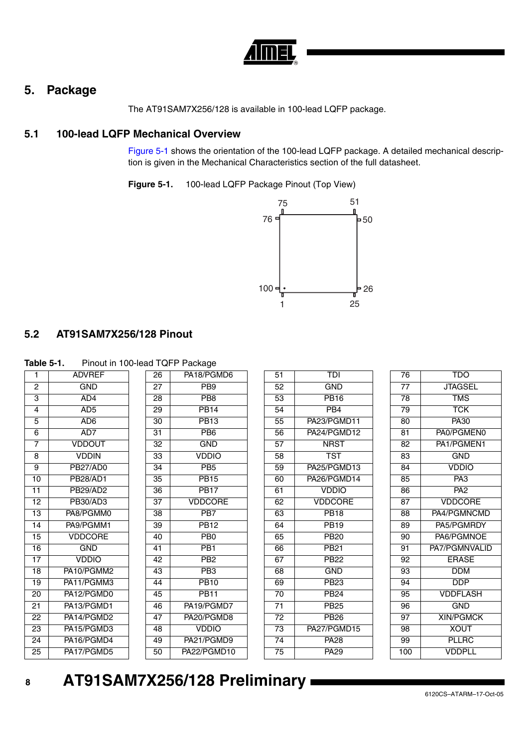

# **5. Package**

The AT91SAM7X256/128 is available in 100-lead LQFP package.

# **5.1 100-lead LQFP Mechanical Overview**

[Figure 5-1](#page-7-0) shows the orientation of the 100-lead LQFP package. A detailed mechanical description is given in the Mechanical Characteristics section of the full datasheet.

<span id="page-7-0"></span>**Figure 5-1.** 100-lead LQFP Package Pinout (Top View)



# **5.2 AT91SAM7X256/128 Pinout**

| Table 5-1. | Pinout in 100-lead TQFP Package |  |
|------------|---------------------------------|--|
|            |                                 |  |

| Taple 5-T.      | PINOULIN TUU-lead TQFF Package |                 |                 |                 |                 |                 |                  |
|-----------------|--------------------------------|-----------------|-----------------|-----------------|-----------------|-----------------|------------------|
|                 | <b>ADVREF</b>                  | 26              | PA18/PGMD6      | 51              | TDI             | $\overline{76}$ | <b>TDO</b>       |
| $\overline{2}$  | GND                            | 27              | PB9             | $\overline{52}$ | <b>GND</b>      | $\overline{77}$ | <b>JTAGSEL</b>   |
| $\overline{3}$  | AD4                            | 28              | PB <sub>8</sub> | 53              | <b>PB16</b>     | 78              | <b>TMS</b>       |
| $\overline{4}$  | AD <sub>5</sub>                | $\overline{29}$ | <b>PB14</b>     | 54              | PB <sub>4</sub> | $\overline{79}$ | <b>TCK</b>       |
| 5               | AD <sub>6</sub>                | 30              | <b>PB13</b>     | 55              | PA23/PGMD11     | 80              | <b>PA30</b>      |
| 6               | AD7                            | 31              | PB <sub>6</sub> | 56              | PA24/PGMD12     | 81              | PA0/PGMEN0       |
| $\overline{7}$  | <b>VDDOUT</b>                  | 32              | <b>GND</b>      | 57              | <b>NRST</b>     | 82              | PA1/PGMEN1       |
| 8               | <b>VDDIN</b>                   | $\overline{33}$ | <b>VDDIO</b>    | $\overline{58}$ | <b>TST</b>      | 83              | <b>GND</b>       |
| 9               | PB27/AD0                       | 34              | PB <sub>5</sub> | 59              | PA25/PGMD13     | 84              | <b>VDDIO</b>     |
| 10              | <b>PB28/AD1</b>                | 35              | <b>PB15</b>     | 60              | PA26/PGMD14     | 85              | PA <sub>3</sub>  |
| 11              | PB29/AD2                       | $\overline{36}$ | <b>PB17</b>     | 61              | <b>VDDIO</b>    | 86              | PA <sub>2</sub>  |
| 12              | PB30/AD3                       | 37              | <b>VDDCORE</b>  | 62              | <b>VDDCORE</b>  | 87              | <b>VDDCORE</b>   |
| $\overline{13}$ | PA8/PGMM0                      | $\overline{38}$ | PB <sub>7</sub> | 63              | <b>PB18</b>     | $\overline{88}$ | PA4/PGMNCMD      |
| 14              | PA9/PGMM1                      | $\overline{39}$ | <b>PB12</b>     | 64              | <b>PB19</b>     | 89              | PA5/PGMRDY       |
| 15              | <b>VDDCORE</b>                 | 40              | PB <sub>0</sub> | 65              | <b>PB20</b>     | 90              | PA6/PGMNOE       |
| 16              | <b>GND</b>                     | 41              | PB1             | 66              | <b>PB21</b>     | 91              | PA7/PGMNVALID    |
| 17              | <b>VDDIO</b>                   | 42              | PB <sub>2</sub> | 67              | <b>PB22</b>     | 92              | <b>ERASE</b>     |
| 18              | PA10/PGMM2                     | 43              | PB <sub>3</sub> | 68              | <b>GND</b>      | 93              | <b>DDM</b>       |
| 19              | PA11/PGMM3                     | 44              | <b>PB10</b>     | 69              | <b>PB23</b>     | 94              | DDP              |
| 20              | PA12/PGMD0                     | 45              | <b>PB11</b>     | $\overline{70}$ | <b>PB24</b>     | $\overline{95}$ | <b>VDDFLASH</b>  |
| 21              | PA13/PGMD1                     | 46              | PA19/PGMD7      | 71              | <b>PB25</b>     | 96              | <b>GND</b>       |
| $\overline{22}$ | PA14/PGMD2                     | 47              | PA20/PGMD8      | 72              | <b>PB26</b>     | $\overline{97}$ | <b>XIN/PGMCK</b> |
| $\overline{23}$ | PA15/PGMD3                     | 48              | <b>VDDIO</b>    | $\overline{73}$ | PA27/PGMD15     | $\overline{98}$ | <b>XOUT</b>      |
| 24              | PA16/PGMD4                     | 49              | PA21/PGMD9      | 74              | <b>PA28</b>     | 99              | <b>PLLRC</b>     |
| 25              | PA17/PGMD5                     | 50              | PA22/PGMD10     | 75              | <b>PA29</b>     | 100             | <b>VDDPLL</b>    |
|                 |                                |                 |                 |                 |                 |                 |                  |

#### **8 AT91SAM7X256/128 Preliminary**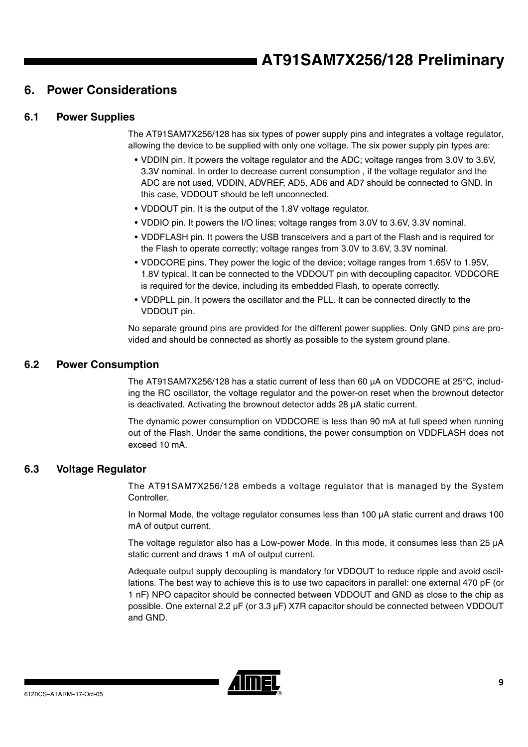# **6. Power Considerations**

# <span id="page-8-1"></span>**6.1 Power Supplies**

The AT91SAM7X256/128 has six types of power supply pins and integrates a voltage regulator, allowing the device to be supplied with only one voltage. The six power supply pin types are:

- VDDIN pin. It powers the voltage regulator and the ADC; voltage ranges from 3.0V to 3.6V, 3.3V nominal. In order to decrease current consumption , if the voltage regulator and the ADC are not used, VDDIN, ADVREF, AD5, AD6 and AD7 should be connected to GND. In this case, VDDOUT should be left unconnected.
- VDDOUT pin. It is the output of the 1.8V voltage regulator.
- VDDIO pin. It powers the I/O lines; voltage ranges from 3.0V to 3.6V, 3.3V nominal.
- VDDFLASH pin. It powers the USB transceivers and a part of the Flash and is required for the Flash to operate correctly; voltage ranges from 3.0V to 3.6V, 3.3V nominal.
- VDDCORE pins. They power the logic of the device; voltage ranges from 1.65V to 1.95V, 1.8V typical. It can be connected to the VDDOUT pin with decoupling capacitor. VDDCORE is required for the device, including its embedded Flash, to operate correctly.
- VDDPLL pin. It powers the oscillator and the PLL. It can be connected directly to the VDDOUT pin.

No separate ground pins are provided for the different power supplies. Only GND pins are provided and should be connected as shortly as possible to the system ground plane.

### <span id="page-8-0"></span>**6.2 Power Consumption**

The AT91SAM7X256/128 has a static current of less than 60 µA on VDDCORE at 25°C, including the RC oscillator, the voltage regulator and the power-on reset when the brownout detector is deactivated. Activating the brownout detector adds  $28 \mu A$  static current.

The dynamic power consumption on VDDCORE is less than 90 mA at full speed when running out of the Flash. Under the same conditions, the power consumption on VDDFLASH does not exceed 10 mA.

# **6.3 Voltage Regulator**

The AT91SAM7X256/128 embeds a voltage regulator that is managed by the System Controller.

In Normal Mode, the voltage regulator consumes less than 100 µA static current and draws 100 mA of output current.

The voltage regulator also has a Low-power Mode. In this mode, it consumes less than 25 µA static current and draws 1 mA of output current.

Adequate output supply decoupling is mandatory for VDDOUT to reduce ripple and avoid oscillations. The best way to achieve this is to use two capacitors in parallel: one external 470 pF (or 1 nF) NPO capacitor should be connected between VDDOUT and GND as close to the chip as possible. One external 2.2 µF (or 3.3 µF) X7R capacitor should be connected between VDDOUT and GND.

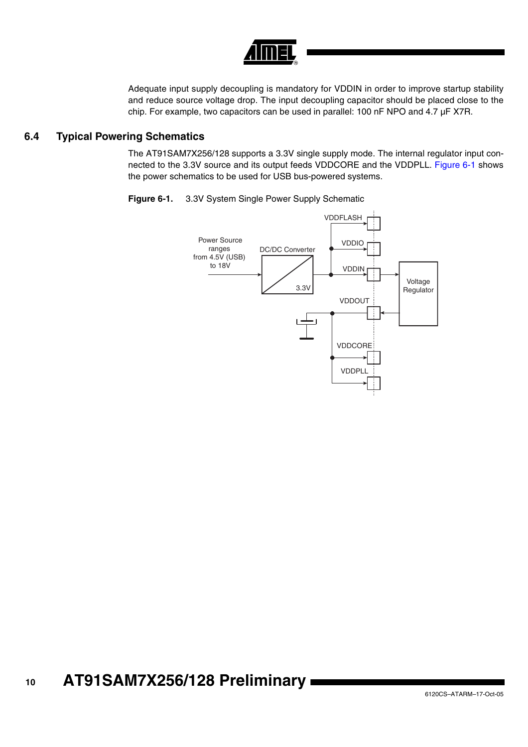

Adequate input supply decoupling is mandatory for VDDIN in order to improve startup stability and reduce source voltage drop. The input decoupling capacitor should be placed close to the chip. For example, two capacitors can be used in parallel: 100 nF NPO and 4.7  $\mu$ F X7R.

### **6.4 Typical Powering Schematics**

The AT91SAM7X256/128 supports a 3.3V single supply mode. The internal regulator input connected to the 3.3V source and its output feeds VDDCORE and the VDDPLL. [Figure 6-1](#page-9-0) shows the power schematics to be used for USB bus-powered systems.



<span id="page-9-0"></span>**Figure 6-1.** 3.3V System Single Power Supply Schematic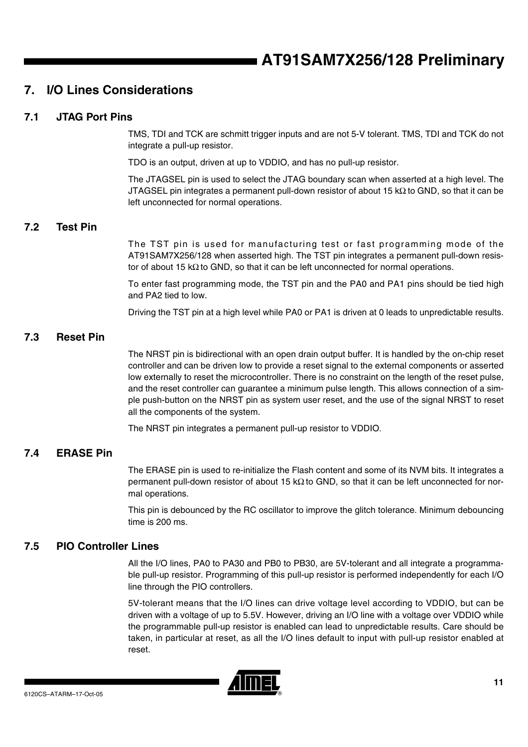# **7. I/O Lines Considerations**

# **7.1 JTAG Port Pins**

TMS, TDI and TCK are schmitt trigger inputs and are not 5-V tolerant. TMS, TDI and TCK do not integrate a pull-up resistor.

TDO is an output, driven at up to VDDIO, and has no pull-up resistor.

The JTAGSEL pin is used to select the JTAG boundary scan when asserted at a high level. The JTAGSEL pin integrates a permanent pull-down resistor of about 15 kΩ to GND, so that it can be left unconnected for normal operations.

### <span id="page-10-0"></span>**7.2 Test Pin**

The TST pin is used for manufacturing test or fast programming mode of the AT91SAM7X256/128 when asserted high. The TST pin integrates a permanent pull-down resistor of about 15 k $\Omega$  to GND, so that it can be left unconnected for normal operations.

To enter fast programming mode, the TST pin and the PA0 and PA1 pins should be tied high and PA2 tied to low.

Driving the TST pin at a high level while PA0 or PA1 is driven at 0 leads to unpredictable results.

# **7.3 Reset Pin**

The NRST pin is bidirectional with an open drain output buffer. It is handled by the on-chip reset controller and can be driven low to provide a reset signal to the external components or asserted low externally to reset the microcontroller. There is no constraint on the length of the reset pulse, and the reset controller can guarantee a minimum pulse length. This allows connection of a simple push-button on the NRST pin as system user reset, and the use of the signal NRST to reset all the components of the system.

The NRST pin integrates a permanent pull-up resistor to VDDIO.

# **7.4 ERASE Pin**

The ERASE pin is used to re-initialize the Flash content and some of its NVM bits. It integrates a permanent pull-down resistor of about 15 kΩ to GND, so that it can be left unconnected for normal operations.

This pin is debounced by the RC oscillator to improve the glitch tolerance. Minimum debouncing time is 200 ms.

### **7.5 PIO Controller Lines**

All the I/O lines, PA0 to PA30 and PB0 to PB30, are 5V-tolerant and all integrate a programmable pull-up resistor. Programming of this pull-up resistor is performed independently for each I/O line through the PIO controllers.

5V-tolerant means that the I/O lines can drive voltage level according to VDDIO, but can be driven with a voltage of up to 5.5V. However, driving an I/O line with a voltage over VDDIO while the programmable pull-up resistor is enabled can lead to unpredictable results. Care should be taken, in particular at reset, as all the I/O lines default to input with pull-up resistor enabled at reset.

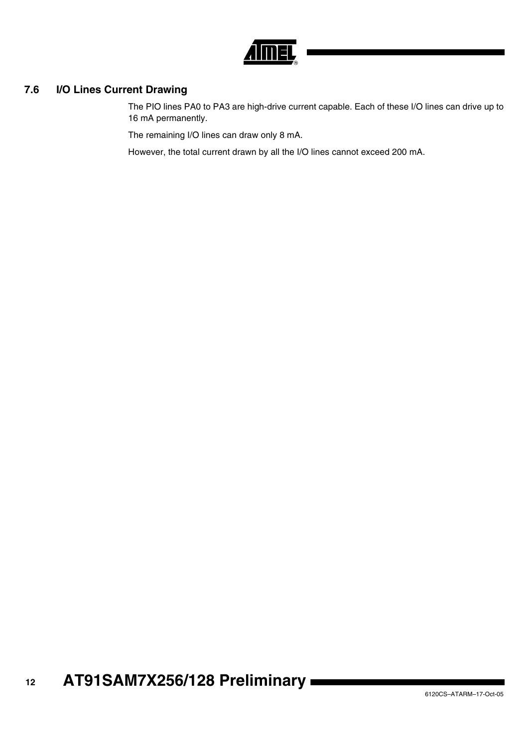

# <span id="page-11-0"></span>**7.6 I/O Lines Current Drawing**

The PIO lines PA0 to PA3 are high-drive current capable. Each of these I/O lines can drive up to 16 mA permanently.

The remaining I/O lines can draw only 8 mA.

However, the total current drawn by all the I/O lines cannot exceed 200 mA.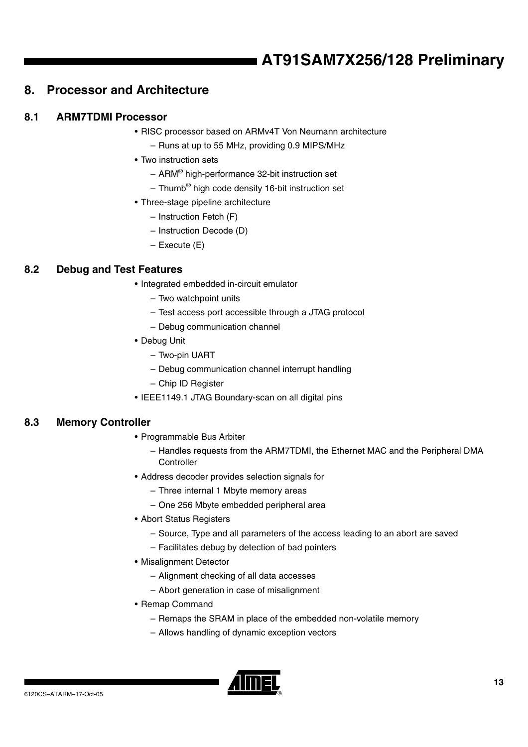# **8. Processor and Architecture**

# **8.1 ARM7TDMI Processor**

- RISC processor based on ARMv4T Von Neumann architecture
	- Runs at up to 55 MHz, providing 0.9 MIPS/MHz
- Two instruction sets
	- ARM® high-performance 32-bit instruction set
	- $-$  Thumb<sup>®</sup> high code density 16-bit instruction set
- Three-stage pipeline architecture
	- Instruction Fetch (F)
	- Instruction Decode (D)
	- Execute (E)

# **8.2 Debug and Test Features**

- Integrated embedded in-circuit emulator
	- Two watchpoint units
	- Test access port accessible through a JTAG protocol
	- Debug communication channel
- Debug Unit
	- Two-pin UART
	- Debug communication channel interrupt handling
	- Chip ID Register
- IEEE1149.1 JTAG Boundary-scan on all digital pins

# **8.3 Memory Controller**

- Programmable Bus Arbiter
	- Handles requests from the ARM7TDMI, the Ethernet MAC and the Peripheral DMA **Controller**
- Address decoder provides selection signals for
	- Three internal 1 Mbyte memory areas
	- One 256 Mbyte embedded peripheral area
- Abort Status Registers
	- Source, Type and all parameters of the access leading to an abort are saved
	- Facilitates debug by detection of bad pointers
- Misalignment Detector
	- Alignment checking of all data accesses
	- Abort generation in case of misalignment
- Remap Command
	- Remaps the SRAM in place of the embedded non-volatile memory
	- Allows handling of dynamic exception vectors

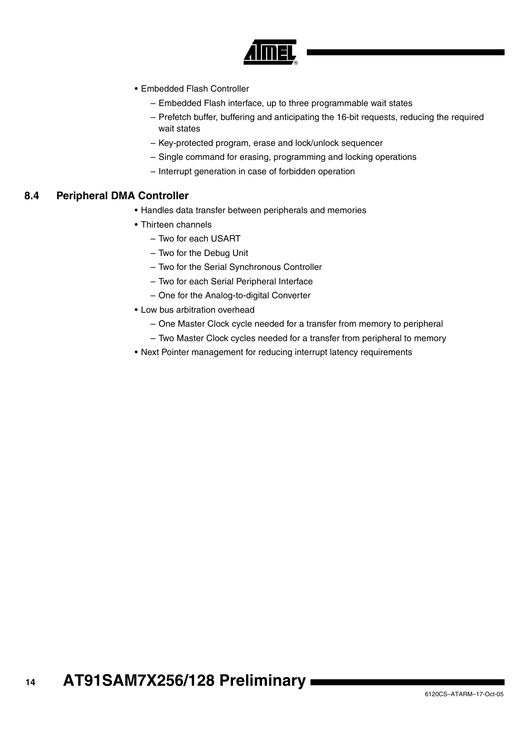

- Embedded Flash Controller
	- Embedded Flash interface, up to three programmable wait states
	- Prefetch buffer, buffering and anticipating the 16-bit requests, reducing the required wait states
	- Key-protected program, erase and lock/unlock sequencer
	- Single command for erasing, programming and locking operations
	- Interrupt generation in case of forbidden operation

#### <span id="page-13-0"></span>**8.4 Peripheral DMA Controller**

- Handles data transfer between peripherals and memories
- Thirteen channels
	- Two for each USART
	- Two for the Debug Unit
	- Two for the Serial Synchronous Controller
	- Two for each Serial Peripheral Interface
	- One for the Analog-to-digital Converter
- Low bus arbitration overhead
	- One Master Clock cycle needed for a transfer from memory to peripheral
	- Two Master Clock cycles needed for a transfer from peripheral to memory
- Next Pointer management for reducing interrupt latency requirements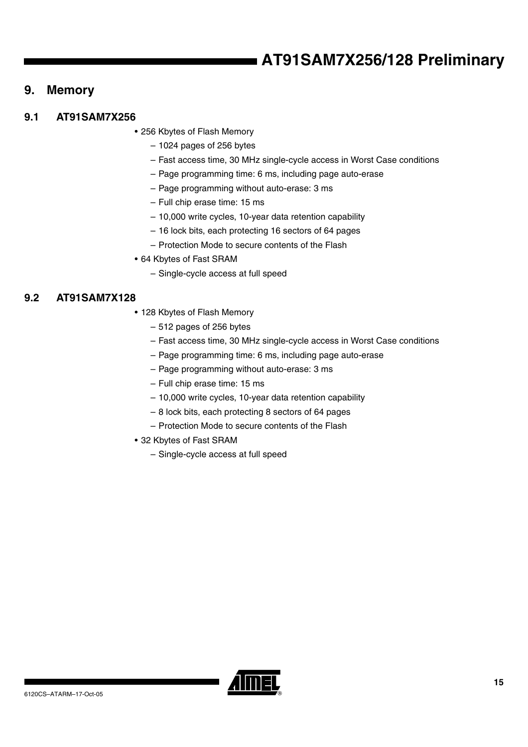# <span id="page-14-0"></span>**9. Memory**

# **9.1 AT91SAM7X256**

• 256 Kbytes of Flash Memory

- 1024 pages of 256 bytes
- Fast access time, 30 MHz single-cycle access in Worst Case conditions
- Page programming time: 6 ms, including page auto-erase
- Page programming without auto-erase: 3 ms
- Full chip erase time: 15 ms
- 10,000 write cycles, 10-year data retention capability
- 16 lock bits, each protecting 16 sectors of 64 pages
- Protection Mode to secure contents of the Flash
- 64 Kbytes of Fast SRAM
	- Single-cycle access at full speed

# **9.2 AT91SAM7X128**

- 128 Kbytes of Flash Memory
	- 512 pages of 256 bytes
	- Fast access time, 30 MHz single-cycle access in Worst Case conditions
	- Page programming time: 6 ms, including page auto-erase
	- Page programming without auto-erase: 3 ms
	- Full chip erase time: 15 ms
	- 10,000 write cycles, 10-year data retention capability
	- 8 lock bits, each protecting 8 sectors of 64 pages
	- Protection Mode to secure contents of the Flash
- 32 Kbytes of Fast SRAM
	- Single-cycle access at full speed

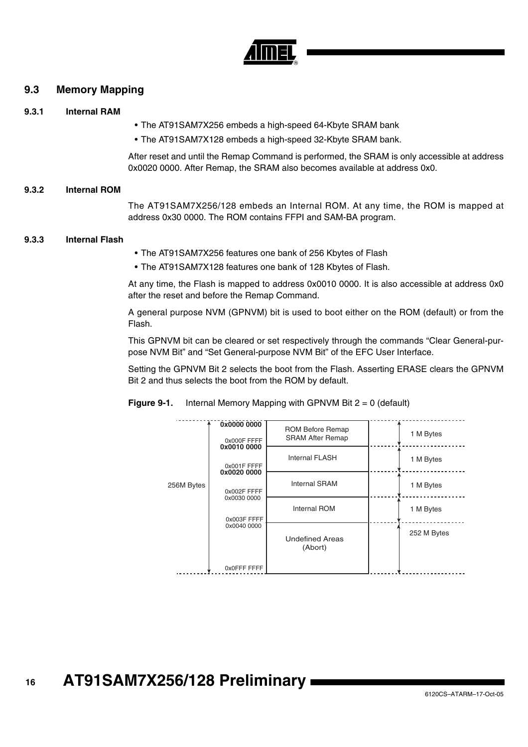

### **9.3 Memory Mapping**

#### **9.3.1 Internal RAM**

- The AT91SAM7X256 embeds a high-speed 64-Kbyte SRAM bank
- The AT91SAM7X128 embeds a high-speed 32-Kbyte SRAM bank.

After reset and until the Remap Command is performed, the SRAM is only accessible at address 0x0020 0000. After Remap, the SRAM also becomes available at address 0x0.

#### **9.3.2 Internal ROM**

The AT91SAM7X256/128 embeds an Internal ROM. At any time, the ROM is mapped at address 0x30 0000. The ROM contains FFPI and SAM-BA program.

#### **9.3.3 Internal Flash**

- The AT91SAM7X256 features one bank of 256 Kbytes of Flash
- The AT91SAM7X128 features one bank of 128 Kbytes of Flash.

At any time, the Flash is mapped to address 0x0010 0000. It is also accessible at address 0x0 after the reset and before the Remap Command.

A general purpose NVM (GPNVM) bit is used to boot either on the ROM (default) or from the Flash.

This GPNVM bit can be cleared or set respectively through the commands "Clear General-purpose NVM Bit" and "Set General-purpose NVM Bit" of the EFC User Interface.

Setting the GPNVM Bit 2 selects the boot from the Flash. Asserting ERASE clears the GPNVM Bit 2 and thus selects the boot from the ROM by default.

**Figure 9-1.** Internal Memory Mapping with GPNVM Bit  $2 = 0$  (default)

|            | 0x0000 0000<br>0x000F FFFF                | <b>ROM Before Remap</b><br><b>SRAM After Remap</b> | 1 M Bytes   |
|------------|-------------------------------------------|----------------------------------------------------|-------------|
|            | 0x0010 0000<br>0x001F FFFF<br>0x0020 0000 | <b>Internal FLASH</b>                              | 1 M Bytes   |
| 256M Bytes | 0x002F FFFF                               | <b>Internal SRAM</b>                               | 1 M Bytes   |
|            | 0x0030 0000<br>0x003F FFFF                | <b>Internal ROM</b>                                | 1 M Bytes   |
|            | 0x0040 0000                               | <b>Undefined Areas</b><br>(Abort)                  | 252 M Bytes |
|            | OxOFFF FFFF                               |                                                    |             |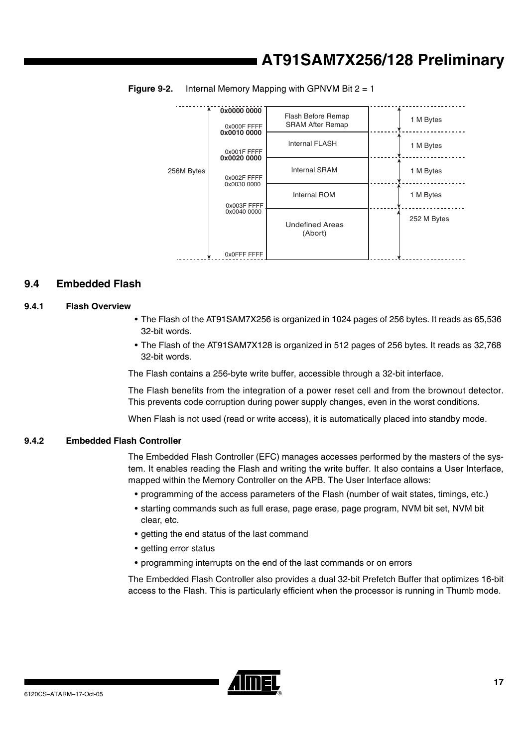| 256M Bytes | 0x0000 0000<br>0x000F FFFF<br>0x0010 0000 | Flash Before Remap<br><b>SRAM After Remap</b> |  | 1 M Bytes   |
|------------|-------------------------------------------|-----------------------------------------------|--|-------------|
|            | 0x001F FFFF<br>0x0020 0000                | <b>Internal FLASH</b>                         |  | 1 M Bytes   |
|            | 0x002F FFFF                               | <b>Internal SRAM</b>                          |  | 1 M Bytes   |
|            | 0x0030 0000<br>0x003F FFFF                | <b>Internal ROM</b>                           |  | 1 M Bytes   |
|            | 0x0040 0000                               | <b>Undefined Areas</b><br>(Abort)             |  | 252 M Bytes |
|            | 0x0FFF FFFF                               |                                               |  |             |

**Figure 9-2.** Internal Memory Mapping with GPNVM Bit 2 = 1

# **9.4 Embedded Flash**

#### **9.4.1 Flash Overview**

- The Flash of the AT91SAM7X256 is organized in 1024 pages of 256 bytes. It reads as 65,536 32-bit words.
- The Flash of the AT91SAM7X128 is organized in 512 pages of 256 bytes. It reads as 32,768 32-bit words.

The Flash contains a 256-byte write buffer, accessible through a 32-bit interface.

The Flash benefits from the integration of a power reset cell and from the brownout detector. This prevents code corruption during power supply changes, even in the worst conditions.

When Flash is not used (read or write access), it is automatically placed into standby mode.

#### **9.4.2 Embedded Flash Controller**

The Embedded Flash Controller (EFC) manages accesses performed by the masters of the system. It enables reading the Flash and writing the write buffer. It also contains a User Interface, mapped within the Memory Controller on the APB. The User Interface allows:

- programming of the access parameters of the Flash (number of wait states, timings, etc.)
- starting commands such as full erase, page erase, page program, NVM bit set, NVM bit clear, etc.
- getting the end status of the last command
- getting error status
- programming interrupts on the end of the last commands or on errors

The Embedded Flash Controller also provides a dual 32-bit Prefetch Buffer that optimizes 16-bit access to the Flash. This is particularly efficient when the processor is running in Thumb mode.

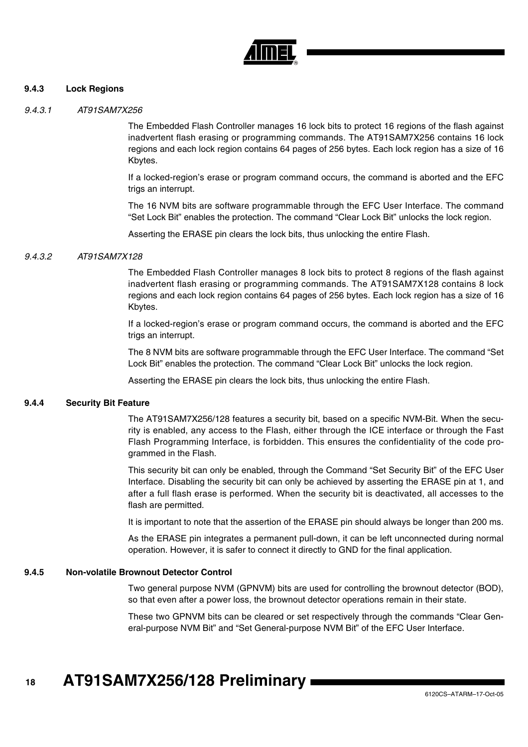

#### **9.4.3 Lock Regions**

#### *9.4.3.1 AT91SAM7X256*

The Embedded Flash Controller manages 16 lock bits to protect 16 regions of the flash against inadvertent flash erasing or programming commands. The AT91SAM7X256 contains 16 lock regions and each lock region contains 64 pages of 256 bytes. Each lock region has a size of 16 Kbytes.

If a locked-region's erase or program command occurs, the command is aborted and the EFC trigs an interrupt.

The 16 NVM bits are software programmable through the EFC User Interface. The command "Set Lock Bit" enables the protection. The command "Clear Lock Bit" unlocks the lock region.

Asserting the ERASE pin clears the lock bits, thus unlocking the entire Flash.

#### *9.4.3.2 AT91SAM7X128*

The Embedded Flash Controller manages 8 lock bits to protect 8 regions of the flash against inadvertent flash erasing or programming commands. The AT91SAM7X128 contains 8 lock regions and each lock region contains 64 pages of 256 bytes. Each lock region has a size of 16 Kbytes.

If a locked-region's erase or program command occurs, the command is aborted and the EFC trigs an interrupt.

The 8 NVM bits are software programmable through the EFC User Interface. The command "Set Lock Bit" enables the protection. The command "Clear Lock Bit" unlocks the lock region.

Asserting the ERASE pin clears the lock bits, thus unlocking the entire Flash.

#### **9.4.4 Security Bit Feature**

The AT91SAM7X256/128 features a security bit, based on a specific NVM-Bit. When the security is enabled, any access to the Flash, either through the ICE interface or through the Fast Flash Programming Interface, is forbidden. This ensures the confidentiality of the code programmed in the Flash.

This security bit can only be enabled, through the Command "Set Security Bit" of the EFC User Interface. Disabling the security bit can only be achieved by asserting the ERASE pin at 1, and after a full flash erase is performed. When the security bit is deactivated, all accesses to the flash are permitted.

It is important to note that the assertion of the ERASE pin should always be longer than 200 ms.

As the ERASE pin integrates a permanent pull-down, it can be left unconnected during normal operation. However, it is safer to connect it directly to GND for the final application.

#### **9.4.5 Non-volatile Brownout Detector Control**

Two general purpose NVM (GPNVM) bits are used for controlling the brownout detector (BOD), so that even after a power loss, the brownout detector operations remain in their state.

These two GPNVM bits can be cleared or set respectively through the commands "Clear General-purpose NVM Bit" and "Set General-purpose NVM Bit" of the EFC User Interface.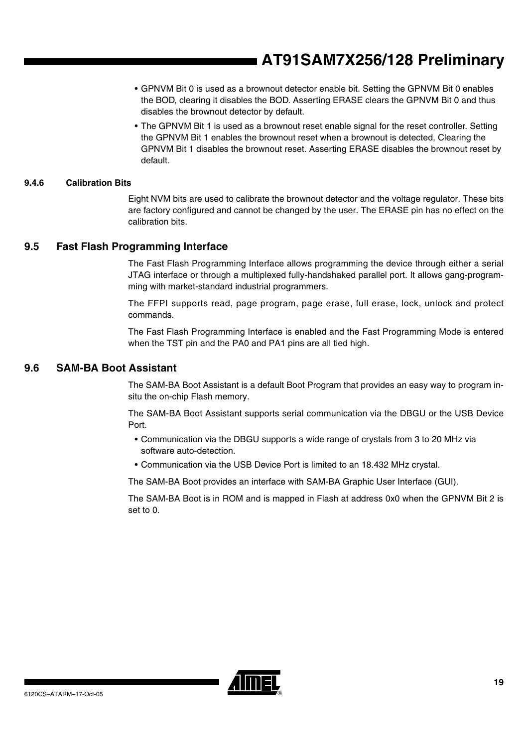- GPNVM Bit 0 is used as a brownout detector enable bit. Setting the GPNVM Bit 0 enables the BOD, clearing it disables the BOD. Asserting ERASE clears the GPNVM Bit 0 and thus disables the brownout detector by default.
- The GPNVM Bit 1 is used as a brownout reset enable signal for the reset controller. Setting the GPNVM Bit 1 enables the brownout reset when a brownout is detected, Clearing the GPNVM Bit 1 disables the brownout reset. Asserting ERASE disables the brownout reset by default.

#### **9.4.6 Calibration Bits**

Eight NVM bits are used to calibrate the brownout detector and the voltage regulator. These bits are factory configured and cannot be changed by the user. The ERASE pin has no effect on the calibration bits.

#### **9.5 Fast Flash Programming Interface**

The Fast Flash Programming Interface allows programming the device through either a serial JTAG interface or through a multiplexed fully-handshaked parallel port. It allows gang-programming with market-standard industrial programmers.

The FFPI supports read, page program, page erase, full erase, lock, unlock and protect commands.

The Fast Flash Programming Interface is enabled and the Fast Programming Mode is entered when the TST pin and the PA0 and PA1 pins are all tied high.

### <span id="page-18-0"></span>**9.6 SAM-BA Boot Assistant**

The SAM-BA Boot Assistant is a default Boot Program that provides an easy way to program insitu the on-chip Flash memory.

The SAM-BA Boot Assistant supports serial communication via the DBGU or the USB Device Port.

- Communication via the DBGU supports a wide range of crystals from 3 to 20 MHz via software auto-detection.
- Communication via the USB Device Port is limited to an 18.432 MHz crystal.

The SAM-BA Boot provides an interface with SAM-BA Graphic User Interface (GUI).

The SAM-BA Boot is in ROM and is mapped in Flash at address 0x0 when the GPNVM Bit 2 is set to 0.

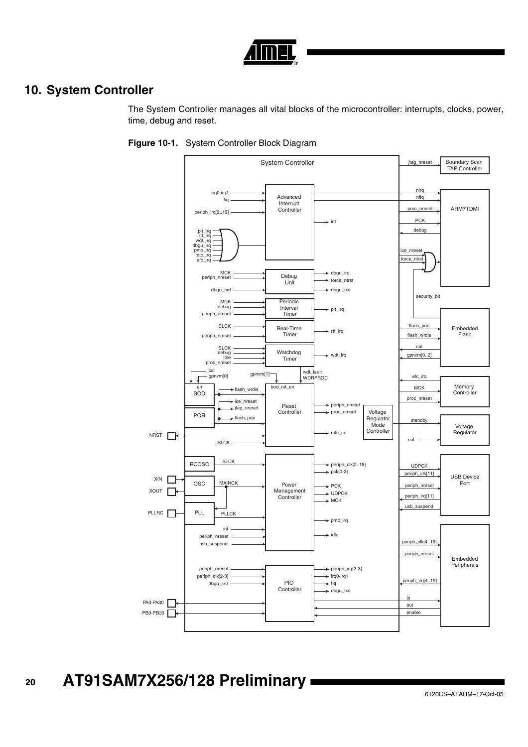

# **10. System Controller**

The System Controller manages all vital blocks of the microcontroller: interrupts, clocks, power, time, debug and reset.

<span id="page-19-0"></span>

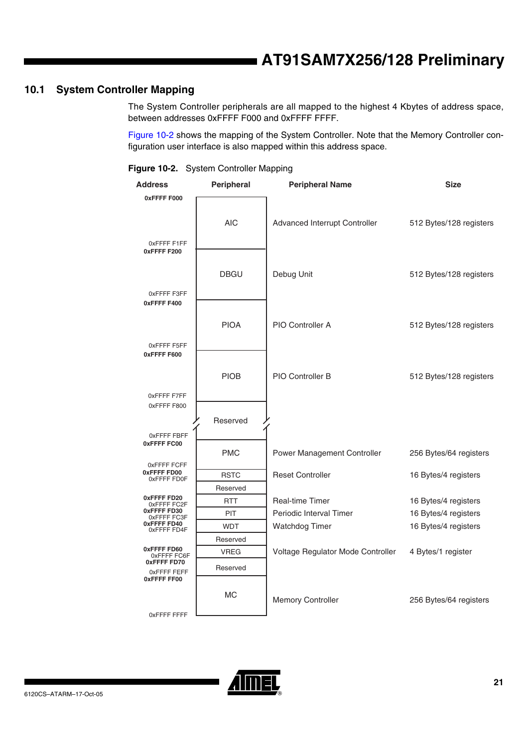# **10.1 System Controller Mapping**

The System Controller peripherals are all mapped to the highest 4 Kbytes of address space, between addresses 0xFFFF F000 and 0xFFFF FFFF.

[Figure 10-2](#page-20-0) shows the mapping of the System Controller. Note that the Memory Controller configuration user interface is also mapped within this address space.

<span id="page-20-0"></span>

|  | Figure 10-2. System Controller Mapping |  |
|--|----------------------------------------|--|
|--|----------------------------------------|--|

| Address                           | Peripheral  | <b>Peripheral Name</b>            | <b>Size</b>             |
|-----------------------------------|-------------|-----------------------------------|-------------------------|
| 0xFFFFF F000                      |             |                                   |                         |
|                                   | <b>AIC</b>  | Advanced Interrupt Controller     | 512 Bytes/128 registers |
| OxFFFF F1FF<br>0xFFFFF 200        |             |                                   |                         |
|                                   | <b>DBGU</b> | Debug Unit                        | 512 Bytes/128 registers |
| OxFFFF F3FF<br>0xFFFFF400         |             |                                   |                         |
|                                   | <b>PIOA</b> | PIO Controller A                  | 512 Bytes/128 registers |
| OxFFFF F5FF<br>0xFFFFF600         |             |                                   |                         |
|                                   | <b>PIOB</b> | PIO Controller B                  | 512 Bytes/128 registers |
| OxFFFF F7FF<br>0xFFFF F800        |             |                                   |                         |
| OxFFFF FBFF                       | Reserved    |                                   |                         |
| 0xFFFFFC00                        | <b>PMC</b>  | Power Management Controller       | 256 Bytes/64 registers  |
| 0xFFFF FCFF<br>0xFFFF FD00        | <b>RSTC</b> | <b>Reset Controller</b>           | 16 Bytes/4 registers    |
| 0xFFFF FD0F                       | Reserved    |                                   |                         |
| 0xFFFFFFD20<br>0xFFFF FC2F        | <b>RTT</b>  | <b>Real-time Timer</b>            | 16 Bytes/4 registers    |
| 0xFFFFFFD30<br>0xFFFFFFC3F        | PIT         | Periodic Interval Timer           | 16 Bytes/4 registers    |
| 0xFFFFFFD40<br>0xFFFF FD4F        | <b>WDT</b>  | <b>Watchdog Timer</b>             | 16 Bytes/4 registers    |
|                                   | Reserved    |                                   |                         |
| 0xFFFFFFD60<br>0xFFFF FC6F        | <b>VREG</b> | Voltage Regulator Mode Controller | 4 Bytes/1 register      |
| 0xFFFF FD70<br>OxFFFF FEFF        | Reserved    |                                   |                         |
| <b>OXFFFF FF00</b><br>OXFFFF FFFF | МC          | Memory Controller                 | 256 Bytes/64 registers  |

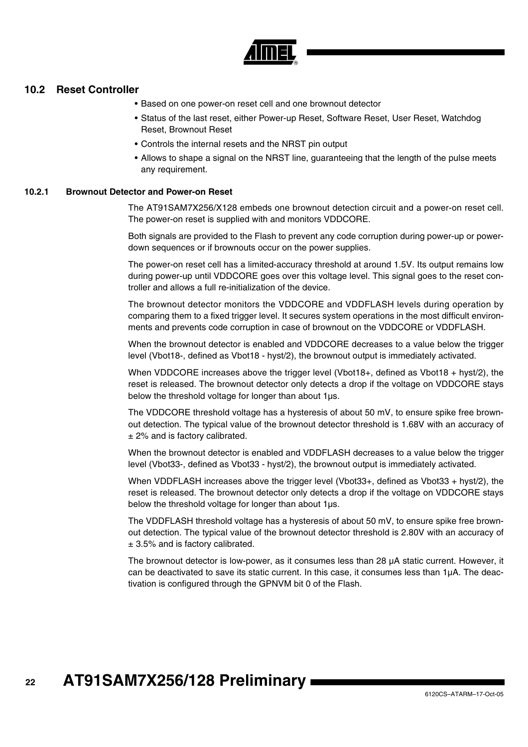

#### **10.2 Reset Controller**

- Based on one power-on reset cell and one brownout detector
- Status of the last reset, either Power-up Reset, Software Reset, User Reset, Watchdog Reset, Brownout Reset
- Controls the internal resets and the NRST pin output
- Allows to shape a signal on the NRST line, guaranteeing that the length of the pulse meets any requirement.

#### **10.2.1 Brownout Detector and Power-on Reset**

The AT91SAM7X256/X128 embeds one brownout detection circuit and a power-on reset cell. The power-on reset is supplied with and monitors VDDCORE.

Both signals are provided to the Flash to prevent any code corruption during power-up or powerdown sequences or if brownouts occur on the power supplies.

The power-on reset cell has a limited-accuracy threshold at around 1.5V. Its output remains low during power-up until VDDCORE goes over this voltage level. This signal goes to the reset controller and allows a full re-initialization of the device.

The brownout detector monitors the VDDCORE and VDDFLASH levels during operation by comparing them to a fixed trigger level. It secures system operations in the most difficult environments and prevents code corruption in case of brownout on the VDDCORE or VDDFLASH.

When the brownout detector is enabled and VDDCORE decreases to a value below the trigger level (Vbot18-, defined as Vbot18 - hyst/2), the brownout output is immediately activated.

When VDDCORE increases above the trigger level (Vbot18+, defined as Vbot18 + hyst/2), the reset is released. The brownout detector only detects a drop if the voltage on VDDCORE stays below the threshold voltage for longer than about 1µs.

The VDDCORE threshold voltage has a hysteresis of about 50 mV, to ensure spike free brownout detection. The typical value of the brownout detector threshold is 1.68V with an accuracy of  $±$  2% and is factory calibrated.

When the brownout detector is enabled and VDDFLASH decreases to a value below the trigger level (Vbot33-, defined as Vbot33 - hyst/2), the brownout output is immediately activated.

When VDDFLASH increases above the trigger level (Vbot33+, defined as Vbot33 + hyst/2), the reset is released. The brownout detector only detects a drop if the voltage on VDDCORE stays below the threshold voltage for longer than about 1µs.

The VDDFLASH threshold voltage has a hysteresis of about 50 mV, to ensure spike free brownout detection. The typical value of the brownout detector threshold is 2.80V with an accuracy of  $± 3.5%$  and is factory calibrated.

The brownout detector is low-power, as it consumes less than 28 µA static current. However, it can be deactivated to save its static current. In this case, it consumes less than 1µA. The deactivation is configured through the GPNVM bit 0 of the Flash.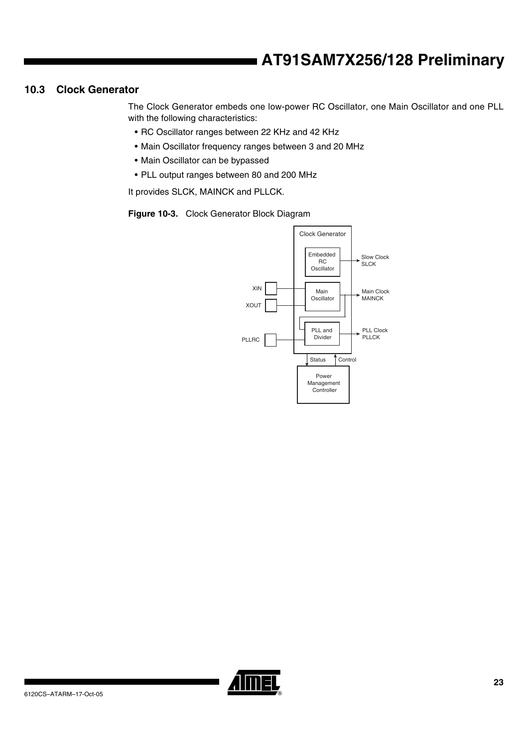### <span id="page-22-0"></span>**10.3 Clock Generator**

The Clock Generator embeds one low-power RC Oscillator, one Main Oscillator and one PLL with the following characteristics:

- RC Oscillator ranges between 22 KHz and 42 KHz
- Main Oscillator frequency ranges between 3 and 20 MHz
- Main Oscillator can be bypassed
- PLL output ranges between 80 and 200 MHz

It provides SLCK, MAINCK and PLLCK.

**Figure 10-3.** Clock Generator Block Diagram



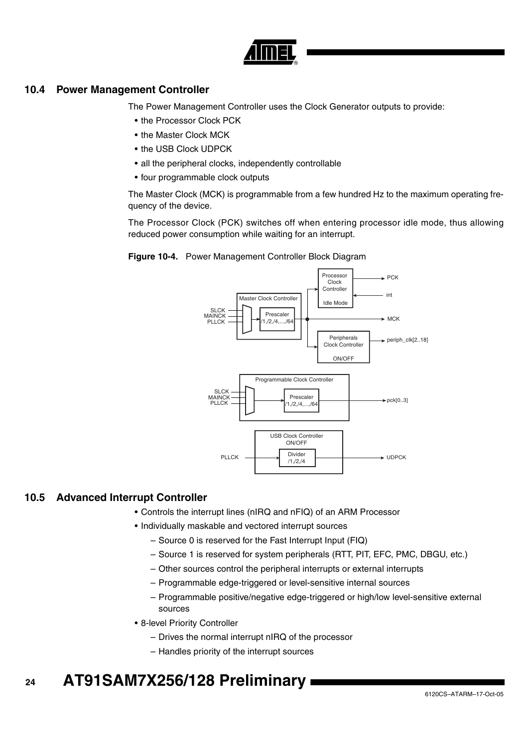

### **10.4 Power Management Controller**

The Power Management Controller uses the Clock Generator outputs to provide:

- the Processor Clock PCK
- the Master Clock MCK
- the USB Clock UDPCK
- all the peripheral clocks, independently controllable
- four programmable clock outputs

The Master Clock (MCK) is programmable from a few hundred Hz to the maximum operating frequency of the device.

The Processor Clock (PCK) switches off when entering processor idle mode, thus allowing reduced power consumption while waiting for an interrupt.





### **10.5 Advanced Interrupt Controller**

- Controls the interrupt lines (nIRQ and nFIQ) of an ARM Processor
- Individually maskable and vectored interrupt sources
	- Source 0 is reserved for the Fast Interrupt Input (FIQ)
	- Source 1 is reserved for system peripherals (RTT, PIT, EFC, PMC, DBGU, etc.)
	- Other sources control the peripheral interrupts or external interrupts
	- Programmable edge-triggered or level-sensitive internal sources
	- Programmable positive/negative edge-triggered or high/low level-sensitive external sources
- 8-level Priority Controller
	- Drives the normal interrupt nIRQ of the processor
	- Handles priority of the interrupt sources

#### **24 AT91SAM7X256/128 Preliminary**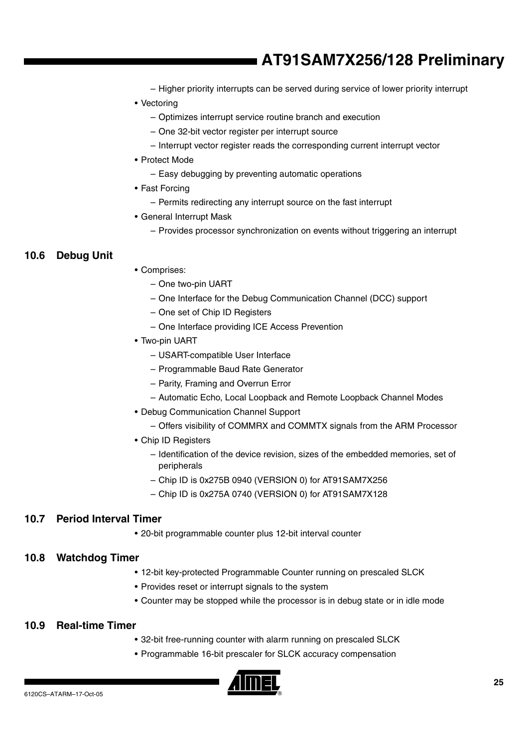- Higher priority interrupts can be served during service of lower priority interrupt
- Vectoring
	- Optimizes interrupt service routine branch and execution
	- One 32-bit vector register per interrupt source
	- Interrupt vector register reads the corresponding current interrupt vector
- Protect Mode
	- Easy debugging by preventing automatic operations
- Fast Forcing
	- Permits redirecting any interrupt source on the fast interrupt
- General Interrupt Mask
	- Provides processor synchronization on events without triggering an interrupt

# **10.6 Debug Unit**

- Comprises:
	- One two-pin UART
	- One Interface for the Debug Communication Channel (DCC) support
	- One set of Chip ID Registers
	- One Interface providing ICE Access Prevention
- Two-pin UART
	- USART-compatible User Interface
	- Programmable Baud Rate Generator
	- Parity, Framing and Overrun Error
	- Automatic Echo, Local Loopback and Remote Loopback Channel Modes
- Debug Communication Channel Support
	- Offers visibility of COMMRX and COMMTX signals from the ARM Processor
- Chip ID Registers
	- Identification of the device revision, sizes of the embedded memories, set of peripherals
	- Chip ID is 0x275B 0940 (VERSION 0) for AT91SAM7X256
	- Chip ID is 0x275A 0740 (VERSION 0) for AT91SAM7X128

# **10.7 Period Interval Timer**

• 20-bit programmable counter plus 12-bit interval counter

# **10.8 Watchdog Timer**

- 12-bit key-protected Programmable Counter running on prescaled SLCK
- Provides reset or interrupt signals to the system
- Counter may be stopped while the processor is in debug state or in idle mode

# **10.9 Real-time Timer**

- 32-bit free-running counter with alarm running on prescaled SLCK
- Programmable 16-bit prescaler for SLCK accuracy compensation

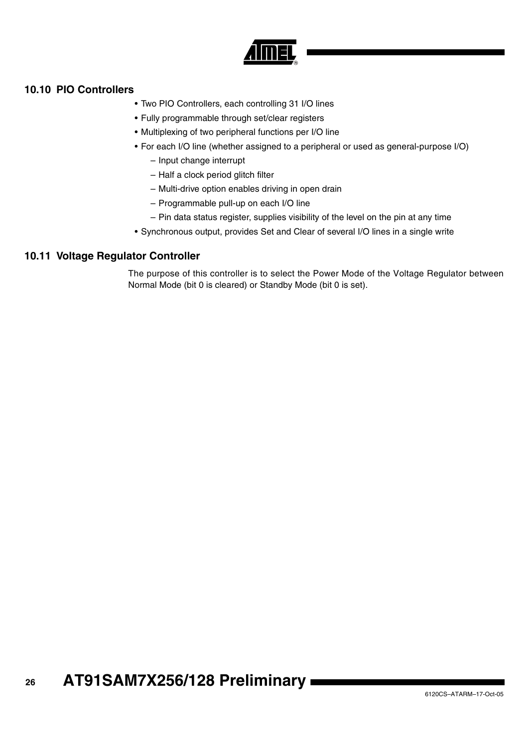

# **10.10 PIO Controllers**

- Two PIO Controllers, each controlling 31 I/O lines
- Fully programmable through set/clear registers
- Multiplexing of two peripheral functions per I/O line
- For each I/O line (whether assigned to a peripheral or used as general-purpose I/O)
	- Input change interrupt
	- Half a clock period glitch filter
	- Multi-drive option enables driving in open drain
	- Programmable pull-up on each I/O line
	- Pin data status register, supplies visibility of the level on the pin at any time
- Synchronous output, provides Set and Clear of several I/O lines in a single write

# **10.11 Voltage Regulator Controller**

The purpose of this controller is to select the Power Mode of the Voltage Regulator between Normal Mode (bit 0 is cleared) or Standby Mode (bit 0 is set).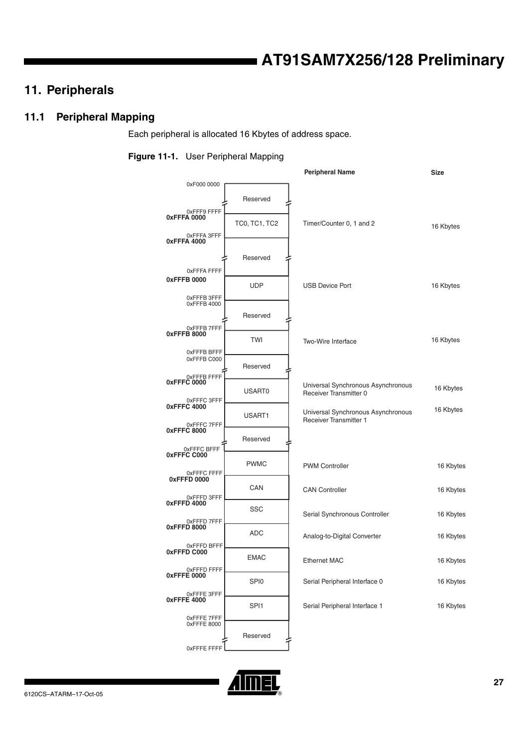# **11. Peripherals**

# **11.1 Peripheral Mapping**

Each peripheral is allocated 16 Kbytes of address space.

#### **Figure 11-1.** User Peripheral Mapping

|                                           |                      | <b>Peripheral Name</b>                                              | <b>Size</b> |
|-------------------------------------------|----------------------|---------------------------------------------------------------------|-------------|
| 0xF000 0000                               |                      |                                                                     |             |
| 0xFFF9 FFFF                               | Reserved             |                                                                     |             |
| 0xFFFA 0000<br>0xFFFA 3FFF                | <b>TC0, TC1, TC2</b> | Timer/Counter 0, 1 and 2                                            | 16 Kbytes   |
| 0xFFFA 4000                               | Reserved             |                                                                     |             |
| <b>OXFFFA FFFF</b><br>0xFFFB 0000         |                      |                                                                     |             |
| 0xFFFB 3FFF<br>0xFFFB 4000                | <b>UDP</b>           | <b>USB Device Port</b>                                              | 16 Kbytes   |
| 0xFFFB7FFF                                | Reserved             |                                                                     |             |
| 0xFFFB 8000<br>0xFFFB BFFF                | TWI                  | Two-Wire Interface                                                  | 16 Kbytes   |
| 0xFFFB C000                               | Reserved             |                                                                     |             |
| 0xFFFB FFFF<br>0xFFFC 0000<br>0xFFFC 3FFF | USART0               | Universal Synchronous Asynchronous<br>Receiver Transmitter 0        | 16 Kbytes   |
| 0xFFFC 4000<br>0xFFFC 7FFF                | USART1               | Universal Synchronous Asynchronous<br><b>Receiver Transmitter 1</b> | 16 Kbytes   |
| 0xFFFC 8000                               | Reserved             |                                                                     |             |
| 0xFFFC BFFF<br>0xFFFC C000<br>0xFFFC FFFF | <b>PWMC</b>          | <b>PWM Controller</b>                                               | 16 Kbytes   |
| 0xFFFD 0000<br>0xFFFD 3FFF                | CAN                  | <b>CAN Controller</b>                                               | 16 Kbytes   |
| 0xFFFD 4000<br>0xFFFD7FFF                 | SSC                  | Serial Synchronous Controller                                       | 16 Kbytes   |
| 0xFFFD 8000                               | <b>ADC</b>           | Analog-to-Digital Converter                                         | 16 Kbytes   |
| 0xFFFD BFFF<br>0xFFFD C000                | <b>EMAC</b>          | <b>Ethernet MAC</b>                                                 | 16 Kbytes   |
| 0xFFFD FFFF<br>0xFFFE 0000                | SPI0                 | Serial Peripheral Interface 0                                       | 16 Kbytes   |
| 0xFFFE 3FFF<br>0xFFFE 4000                | SPI1                 | Serial Peripheral Interface 1                                       | 16 Kbytes   |
| OxFFFE 7FFF<br>0xFFFE 8000                | Reserved             |                                                                     |             |
| <b>OXFFFE FFFF</b>                        |                      |                                                                     |             |

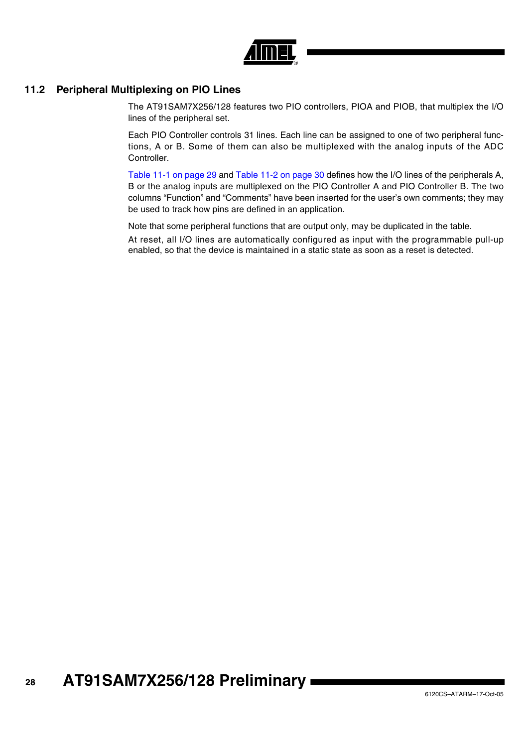

# **11.2 Peripheral Multiplexing on PIO Lines**

The AT91SAM7X256/128 features two PIO controllers, PIOA and PIOB, that multiplex the I/O lines of the peripheral set.

Each PIO Controller controls 31 lines. Each line can be assigned to one of two peripheral functions, A or B. Some of them can also be multiplexed with the analog inputs of the ADC Controller.

[Table 11-1 on page 29](#page-28-0) and [Table 11-2 on page 30](#page-29-0) defines how the I/O lines of the peripherals A, B or the analog inputs are multiplexed on the PIO Controller A and PIO Controller B. The two columns "Function" and "Comments" have been inserted for the user's own comments; they may be used to track how pins are defined in an application.

Note that some peripheral functions that are output only, may be duplicated in the table.

At reset, all I/O lines are automatically configured as input with the programmable pull-up enabled, so that the device is maintained in a static state as soon as a reset is detected.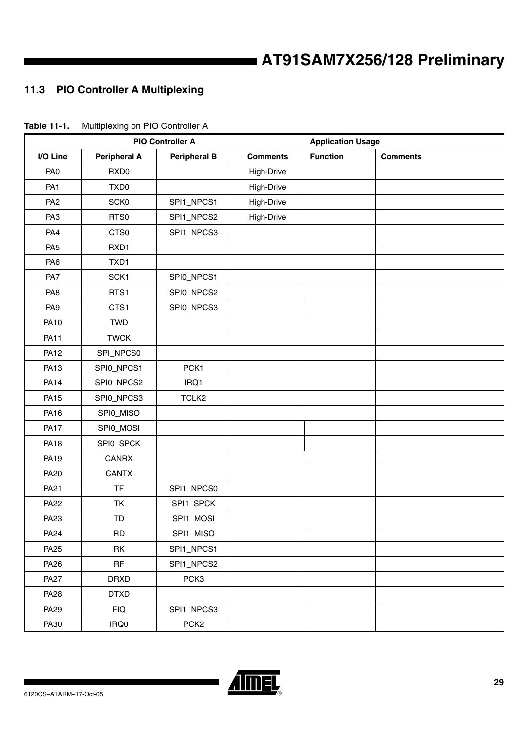# **11.3 PIO Controller A Multiplexing**

| <b>PIO Controller A</b> |                     |                     | <b>Application Usage</b> |                 |                 |
|-------------------------|---------------------|---------------------|--------------------------|-----------------|-----------------|
| I/O Line                | <b>Peripheral A</b> | <b>Peripheral B</b> | <b>Comments</b>          | <b>Function</b> | <b>Comments</b> |
| PA <sub>0</sub>         | RXD <sub>0</sub>    |                     | High-Drive               |                 |                 |
| PA <sub>1</sub>         | TXD <sub>0</sub>    |                     | High-Drive               |                 |                 |
| PA <sub>2</sub>         | <b>SCK0</b>         | SPI1_NPCS1          | High-Drive               |                 |                 |
| PA <sub>3</sub>         | RTS0                | SPI1_NPCS2          | High-Drive               |                 |                 |
| PA4                     | CTS0                | SPI1_NPCS3          |                          |                 |                 |
| PA <sub>5</sub>         | RXD1                |                     |                          |                 |                 |
| PA <sub>6</sub>         | TXD1                |                     |                          |                 |                 |
| PA7                     | SCK1                | SPI0_NPCS1          |                          |                 |                 |
| PA <sub>8</sub>         | RTS1                | SPI0_NPCS2          |                          |                 |                 |
| PA <sub>9</sub>         | CTS1                | SPI0_NPCS3          |                          |                 |                 |
| <b>PA10</b>             | <b>TWD</b>          |                     |                          |                 |                 |
| <b>PA11</b>             | <b>TWCK</b>         |                     |                          |                 |                 |
| <b>PA12</b>             | SPI_NPCS0           |                     |                          |                 |                 |
| <b>PA13</b>             | SPI0_NPCS1          | PCK1                |                          |                 |                 |
| <b>PA14</b>             | SPI0_NPCS2          | IRQ1                |                          |                 |                 |
| <b>PA15</b>             | SPI0_NPCS3          | TCLK <sub>2</sub>   |                          |                 |                 |
| PA16                    | SPI0_MISO           |                     |                          |                 |                 |
| <b>PA17</b>             | SPI0_MOSI           |                     |                          |                 |                 |
| <b>PA18</b>             | SPI0_SPCK           |                     |                          |                 |                 |
| PA19                    | <b>CANRX</b>        |                     |                          |                 |                 |
| <b>PA20</b>             | <b>CANTX</b>        |                     |                          |                 |                 |
| PA21                    | <b>TF</b>           | SPI1_NPCS0          |                          |                 |                 |
| <b>PA22</b>             | TK                  | SPI1_SPCK           |                          |                 |                 |
| PA23                    | TD                  | SPI1_MOSI           |                          |                 |                 |
| <b>PA24</b>             | RD                  | SPI1_MISO           |                          |                 |                 |
| <b>PA25</b>             | RK                  | SPI1_NPCS1          |                          |                 |                 |
| <b>PA26</b>             | RF                  | SPI1_NPCS2          |                          |                 |                 |
| <b>PA27</b>             | <b>DRXD</b>         | PCK3                |                          |                 |                 |
| <b>PA28</b>             | <b>DTXD</b>         |                     |                          |                 |                 |
| PA29                    | <b>FIQ</b>          | SPI1_NPCS3          |                          |                 |                 |
| PA30                    | IRQ0                | PCK <sub>2</sub>    |                          |                 |                 |

<span id="page-28-0"></span>**Table 11-1.** Multiplexing on PIO Controller A

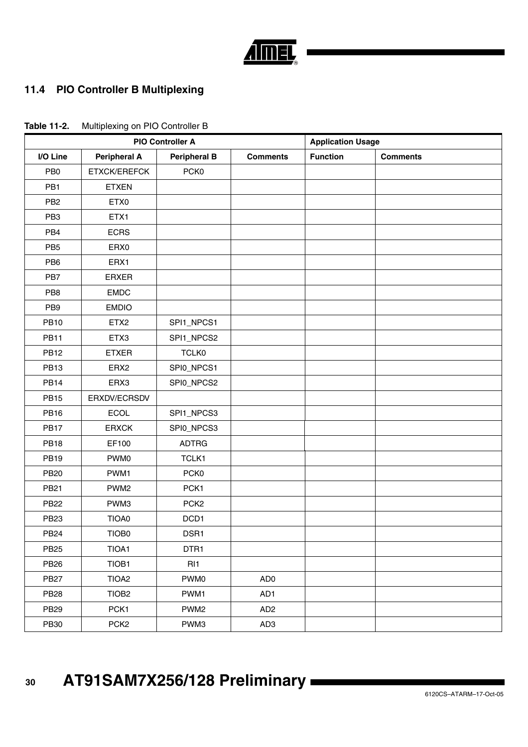

# **11.4 PIO Controller B Multiplexing**

|                 | <b>PIO Controller A</b> |                     | <b>Application Usage</b> |                 |                 |
|-----------------|-------------------------|---------------------|--------------------------|-----------------|-----------------|
| I/O Line        | <b>Peripheral A</b>     | <b>Peripheral B</b> | <b>Comments</b>          | <b>Function</b> | <b>Comments</b> |
| PB <sub>0</sub> | <b>ETXCK/EREFCK</b>     | PCK <sub>0</sub>    |                          |                 |                 |
| PB1             | <b>ETXEN</b>            |                     |                          |                 |                 |
| PB <sub>2</sub> | ETX0                    |                     |                          |                 |                 |
| PB <sub>3</sub> | ETX1                    |                     |                          |                 |                 |
| PB4             | <b>ECRS</b>             |                     |                          |                 |                 |
| PB <sub>5</sub> | ERX0                    |                     |                          |                 |                 |
| PB <sub>6</sub> | ERX1                    |                     |                          |                 |                 |
| PB7             | <b>ERXER</b>            |                     |                          |                 |                 |
| PB8             | <b>EMDC</b>             |                     |                          |                 |                 |
| PB <sub>9</sub> | <b>EMDIO</b>            |                     |                          |                 |                 |
| <b>PB10</b>     | ETX <sub>2</sub>        | SPI1_NPCS1          |                          |                 |                 |
| <b>PB11</b>     | ETX3                    | SPI1_NPCS2          |                          |                 |                 |
| <b>PB12</b>     | <b>ETXER</b>            | <b>TCLK0</b>        |                          |                 |                 |
| <b>PB13</b>     | ERX <sub>2</sub>        | SPI0_NPCS1          |                          |                 |                 |
| <b>PB14</b>     | ERX3                    | SPI0_NPCS2          |                          |                 |                 |
| <b>PB15</b>     | ERXDV/ECRSDV            |                     |                          |                 |                 |
| <b>PB16</b>     | <b>ECOL</b>             | SPI1_NPCS3          |                          |                 |                 |
| <b>PB17</b>     | <b>ERXCK</b>            | SPI0_NPCS3          |                          |                 |                 |
| <b>PB18</b>     | EF100                   | <b>ADTRG</b>        |                          |                 |                 |
| <b>PB19</b>     | PWM0                    | TCLK1               |                          |                 |                 |
| <b>PB20</b>     | PWM1                    | PCK <sub>0</sub>    |                          |                 |                 |
| <b>PB21</b>     | PWM <sub>2</sub>        | PCK1                |                          |                 |                 |
| <b>PB22</b>     | PWM3                    | PCK <sub>2</sub>    |                          |                 |                 |
| <b>PB23</b>     | TIOA0                   | DCD1                |                          |                 |                 |
| <b>PB24</b>     | TIOB0                   | DSR1                |                          |                 |                 |
| <b>PB25</b>     | TIOA1                   | DTR1                |                          |                 |                 |
| <b>PB26</b>     | TIOB1                   | RI <sub>1</sub>     |                          |                 |                 |
| <b>PB27</b>     | TIOA <sub>2</sub>       | PWM0                | AD <sub>0</sub>          |                 |                 |

<span id="page-29-0"></span>**Table 11-2.** Multiplexing on PIO Controller B

PB28 TIOB2 PWM1 AD1 PB29 PCK1 PWM2 AD2 PB30 | PCK2 | PWM3 | AD3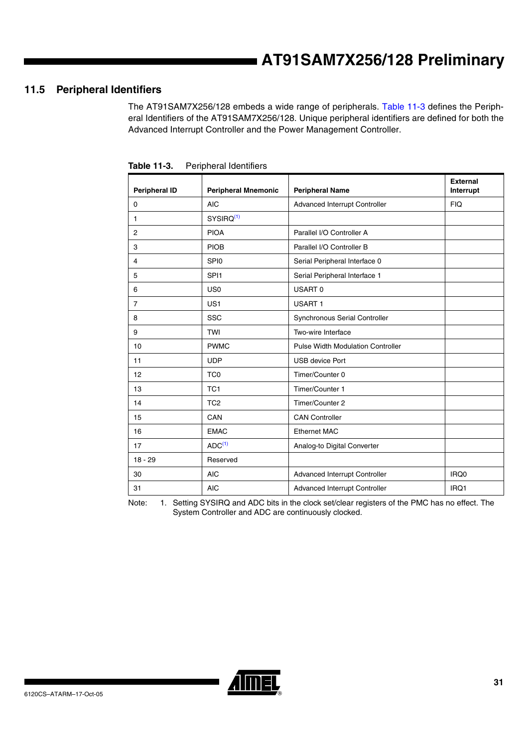# **11.5 Peripheral Identifiers**

The AT91SAM7X256/128 embeds a wide range of peripherals. [Table 11-3](#page-30-0) defines the Peripheral Identifiers of the AT91SAM7X256/128. Unique peripheral identifiers are defined for both the Advanced Interrupt Controller and the Power Management Controller.

| <b>Peripheral ID</b> | <b>Peripheral Mnemonic</b> | <b>Peripheral Name</b>                   | <b>External</b><br>Interrupt |
|----------------------|----------------------------|------------------------------------------|------------------------------|
| 0                    | <b>AIC</b>                 | Advanced Interrupt Controller            | <b>FIQ</b>                   |
| $\mathbf{1}$         | SYSIRQ <sup>(1)</sup>      |                                          |                              |
| $\overline{2}$       | <b>PIOA</b>                | Parallel I/O Controller A                |                              |
| 3                    | <b>PIOB</b>                | Parallel I/O Controller B                |                              |
| $\overline{4}$       | <b>SPIO</b>                | Serial Peripheral Interface 0            |                              |
| 5                    | SPI <sub>1</sub>           | Serial Peripheral Interface 1            |                              |
| 6                    | US <sub>0</sub>            | USART 0                                  |                              |
| $\overline{7}$       | US <sub>1</sub>            | <b>USART1</b>                            |                              |
| 8                    | SSC                        | Synchronous Serial Controller            |                              |
| 9                    | <b>TWI</b>                 | Two-wire Interface                       |                              |
| 10                   | <b>PWMC</b>                | <b>Pulse Width Modulation Controller</b> |                              |
| 11                   | <b>UDP</b>                 | <b>USB device Port</b>                   |                              |
| 12                   | TC <sub>0</sub>            | Timer/Counter 0                          |                              |
| 13                   | TC <sub>1</sub>            | Timer/Counter 1                          |                              |
| 14                   | TC <sub>2</sub>            | Timer/Counter 2                          |                              |
| 15                   | CAN                        | <b>CAN Controller</b>                    |                              |
| 16                   | <b>EMAC</b>                | <b>Ethernet MAC</b>                      |                              |
| 17                   | ADC <sup>(1)</sup>         | Analog-to Digital Converter              |                              |
| $18 - 29$            | Reserved                   |                                          |                              |
| 30                   | <b>AIC</b>                 | Advanced Interrupt Controller            | IRQ0                         |
| 31                   | <b>AIC</b>                 | <b>Advanced Interrupt Controller</b>     | IRQ1                         |

<span id="page-30-0"></span>**Table 11-3.** Peripheral Identifiers

<span id="page-30-1"></span>Note: 1. Setting SYSIRQ and ADC bits in the clock set/clear registers of the PMC has no effect. The System Controller and ADC are continuously clocked.

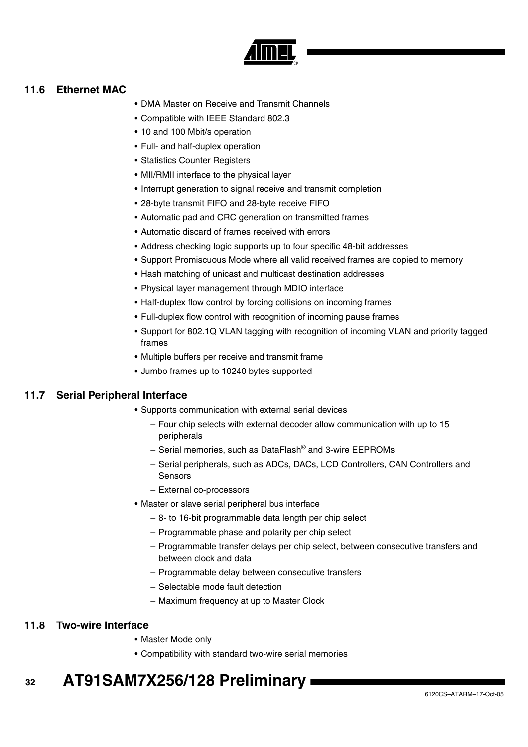

# <span id="page-31-0"></span>**11.6 Ethernet MAC**

- DMA Master on Receive and Transmit Channels
- Compatible with IEEE Standard 802.3
- 10 and 100 Mbit/s operation
- Full- and half-duplex operation
- Statistics Counter Registers
- MII/RMII interface to the physical layer
- Interrupt generation to signal receive and transmit completion
- 28-byte transmit FIFO and 28-byte receive FIFO
- Automatic pad and CRC generation on transmitted frames
- Automatic discard of frames received with errors
- Address checking logic supports up to four specific 48-bit addresses
- Support Promiscuous Mode where all valid received frames are copied to memory
- Hash matching of unicast and multicast destination addresses
- Physical layer management through MDIO interface
- Half-duplex flow control by forcing collisions on incoming frames
- Full-duplex flow control with recognition of incoming pause frames
- Support for 802.1Q VLAN tagging with recognition of incoming VLAN and priority tagged frames
- Multiple buffers per receive and transmit frame
- Jumbo frames up to 10240 bytes supported

# **11.7 Serial Peripheral Interface**

- Supports communication with external serial devices
	- Four chip selects with external decoder allow communication with up to 15 peripherals
	- Serial memories, such as DataFlash® and 3-wire EEPROMs
	- Serial peripherals, such as ADCs, DACs, LCD Controllers, CAN Controllers and **Sensors**
	- External co-processors
- Master or slave serial peripheral bus interface
	- 8- to 16-bit programmable data length per chip select
	- Programmable phase and polarity per chip select
	- Programmable transfer delays per chip select, between consecutive transfers and between clock and data
	- Programmable delay between consecutive transfers
	- Selectable mode fault detection
	- Maximum frequency at up to Master Clock

# **11.8 Two-wire Interface**

- Master Mode only
- Compatibility with standard two-wire serial memories

#### **32 AT91SAM7X256/128 Preliminary**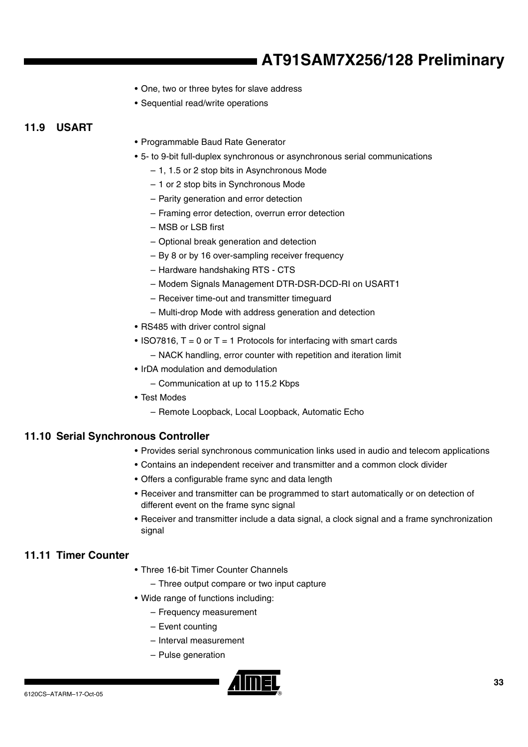- One, two or three bytes for slave address
- Sequential read/write operations

# **11.9 USART**

- Programmable Baud Rate Generator
- 5- to 9-bit full-duplex synchronous or asynchronous serial communications
	- 1, 1.5 or 2 stop bits in Asynchronous Mode
	- 1 or 2 stop bits in Synchronous Mode
	- Parity generation and error detection
	- Framing error detection, overrun error detection
	- MSB or LSB first
	- Optional break generation and detection
	- By 8 or by 16 over-sampling receiver frequency
	- Hardware handshaking RTS CTS
	- Modem Signals Management DTR-DSR-DCD-RI on USART1
	- Receiver time-out and transmitter timeguard
	- Multi-drop Mode with address generation and detection
- RS485 with driver control signal
- ISO7816,  $T = 0$  or  $T = 1$  Protocols for interfacing with smart cards
	- NACK handling, error counter with repetition and iteration limit
- IrDA modulation and demodulation
	- Communication at up to 115.2 Kbps
- Test Modes
	- Remote Loopback, Local Loopback, Automatic Echo

# **11.10 Serial Synchronous Controller**

- Provides serial synchronous communication links used in audio and telecom applications
- Contains an independent receiver and transmitter and a common clock divider
- Offers a configurable frame sync and data length
- Receiver and transmitter can be programmed to start automatically or on detection of different event on the frame sync signal
- Receiver and transmitter include a data signal, a clock signal and a frame synchronization signal

# **11.11 Timer Counter**

- Three 16-bit Timer Counter Channels
	- Three output compare or two input capture
- Wide range of functions including:
	- Frequency measurement
	- Event counting
	- Interval measurement
	- Pulse generation

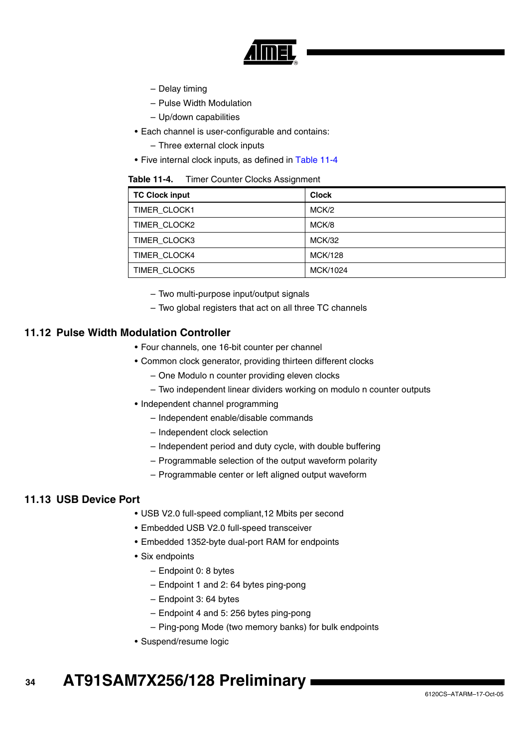

- Delay timing
- Pulse Width Modulation
- Up/down capabilities
- Each channel is user-configurable and contains:
	- Three external clock inputs
- Five internal clock inputs, as defined in [Table 11-4](#page-33-0)

<span id="page-33-0"></span>

| Table 11-4. |  | <b>Timer Counter Clocks Assignment</b> |
|-------------|--|----------------------------------------|
|-------------|--|----------------------------------------|

| <b>TC Clock input</b> | <b>Clock</b>  |
|-----------------------|---------------|
| <b>TIMER CLOCK1</b>   | MCK/2         |
| TIMER CLOCK2          | MCK/8         |
| TIMER CLOCK3          | <b>MCK/32</b> |
| <b>TIMER CLOCK4</b>   | MCK/128       |
| TIMER CLOCK5          | MCK/1024      |

– Two multi-purpose input/output signals

– Two global registers that act on all three TC channels

### **11.12 Pulse Width Modulation Controller**

- Four channels, one 16-bit counter per channel
- Common clock generator, providing thirteen different clocks
	- One Modulo n counter providing eleven clocks
	- Two independent linear dividers working on modulo n counter outputs
- Independent channel programming
	- Independent enable/disable commands
	- Independent clock selection
	- Independent period and duty cycle, with double buffering
	- Programmable selection of the output waveform polarity
	- Programmable center or left aligned output waveform

#### **11.13 USB Device Port**

- USB V2.0 full-speed compliant,12 Mbits per second
- Embedded USB V2.0 full-speed transceiver
- Embedded 1352-byte dual-port RAM for endpoints
- Six endpoints
	- Endpoint 0: 8 bytes
	- Endpoint 1 and 2: 64 bytes ping-pong
	- Endpoint 3: 64 bytes
	- Endpoint 4 and 5: 256 bytes ping-pong
	- Ping-pong Mode (two memory banks) for bulk endpoints
- Suspend/resume logic

#### **34 AT91SAM7X256/128 Preliminary**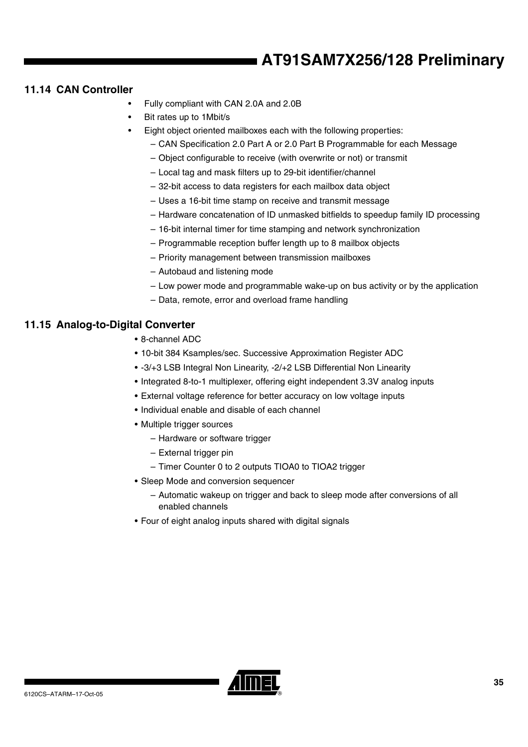# **11.14 CAN Controller**

- Fully compliant with CAN 2.0A and 2.0B
- Bit rates up to 1Mbit/s
- Eight object oriented mailboxes each with the following properties:
	- CAN Specification 2.0 Part A or 2.0 Part B Programmable for each Message
	- Object configurable to receive (with overwrite or not) or transmit
	- Local tag and mask filters up to 29-bit identifier/channel
	- 32-bit access to data registers for each mailbox data object
	- Uses a 16-bit time stamp on receive and transmit message
	- Hardware concatenation of ID unmasked bitfields to speedup family ID processing
	- 16-bit internal timer for time stamping and network synchronization
	- Programmable reception buffer length up to 8 mailbox objects
	- Priority management between transmission mailboxes
	- Autobaud and listening mode
	- Low power mode and programmable wake-up on bus activity or by the application
	- Data, remote, error and overload frame handling

# **11.15 Analog-to-Digital Converter**

- 8-channel ADC
- 10-bit 384 Ksamples/sec. Successive Approximation Register ADC
- -3/+3 LSB Integral Non Linearity, -2/+2 LSB Differential Non Linearity
- Integrated 8-to-1 multiplexer, offering eight independent 3.3V analog inputs
- External voltage reference for better accuracy on low voltage inputs
- Individual enable and disable of each channel
- Multiple trigger sources
	- Hardware or software trigger
	- External trigger pin
	- Timer Counter 0 to 2 outputs TIOA0 to TIOA2 trigger
- Sleep Mode and conversion sequencer
	- Automatic wakeup on trigger and back to sleep mode after conversions of all enabled channels
- Four of eight analog inputs shared with digital signals

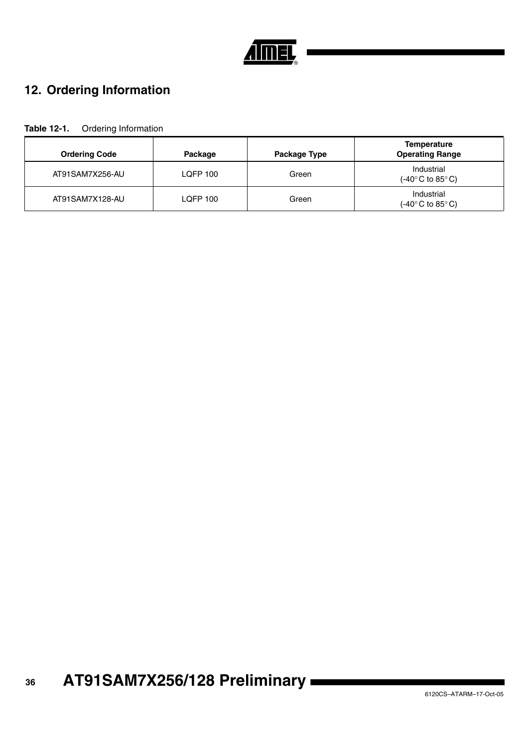

# <span id="page-35-0"></span>**12. Ordering Information**

| Table 12-1. | Ordering Information |
|-------------|----------------------|
|-------------|----------------------|

| <b>Ordering Code</b> | Package  | Package Type | <b>Temperature</b><br><b>Operating Range</b>                      |
|----------------------|----------|--------------|-------------------------------------------------------------------|
| AT91SAM7X256-AU      | LOFP 100 | Green        | Industrial<br>$(-40^{\circ} \text{C}$ to 85 $^{\circ} \text{C}$ ) |
| AT91SAM7X128-AU      | LQFP 100 | Green        | Industrial<br>$(-40^{\circ} \text{C}$ to 85 $^{\circ} \text{C})$  |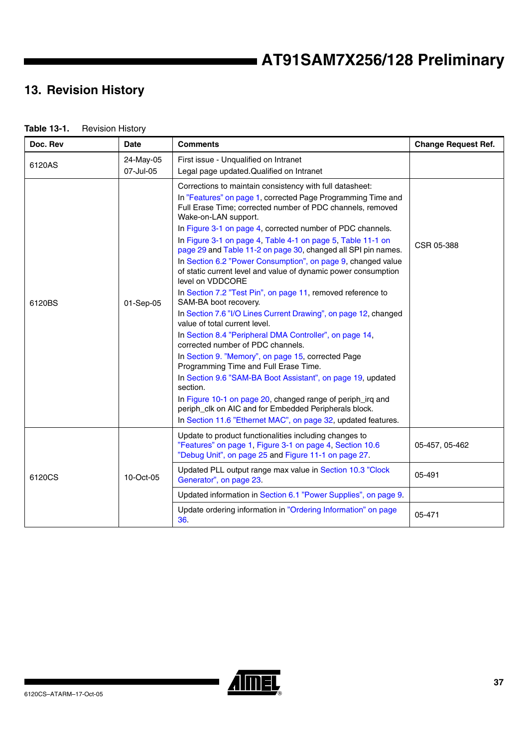# **13. Revision History**

| <b>Table 13-1.</b> | <b>Revision History</b> |
|--------------------|-------------------------|
|--------------------|-------------------------|

| Doc. Rev | <b>Date</b>            | <b>Comments</b>                                                                                                                                                                                                                                                                                                                                                                                                                                                                                                                                                                                                                                                                                                                                                                                                                                                                                                                                                                                                                                                                                                                                                                                                                  | <b>Change Request Ref.</b> |
|----------|------------------------|----------------------------------------------------------------------------------------------------------------------------------------------------------------------------------------------------------------------------------------------------------------------------------------------------------------------------------------------------------------------------------------------------------------------------------------------------------------------------------------------------------------------------------------------------------------------------------------------------------------------------------------------------------------------------------------------------------------------------------------------------------------------------------------------------------------------------------------------------------------------------------------------------------------------------------------------------------------------------------------------------------------------------------------------------------------------------------------------------------------------------------------------------------------------------------------------------------------------------------|----------------------------|
| 6120AS   | 24-May-05<br>07-Jul-05 | First issue - Unqualified on Intranet<br>Legal page updated. Qualified on Intranet                                                                                                                                                                                                                                                                                                                                                                                                                                                                                                                                                                                                                                                                                                                                                                                                                                                                                                                                                                                                                                                                                                                                               |                            |
| 6120BS   | 01-Sep-05              | Corrections to maintain consistency with full datasheet:<br>In "Features" on page 1, corrected Page Programming Time and<br>Full Erase Time; corrected number of PDC channels, removed<br>Wake-on-LAN support.<br>In Figure 3-1 on page 4, corrected number of PDC channels.<br>In Figure 3-1 on page 4, Table 4-1 on page 5, Table 11-1 on<br>page 29 and Table 11-2 on page 30, changed all SPI pin names.<br>In Section 6.2 "Power Consumption", on page 9, changed value<br>of static current level and value of dynamic power consumption<br>level on VDDCORE<br>In Section 7.2 "Test Pin", on page 11, removed reference to<br>SAM-BA boot recovery.<br>In Section 7.6 "I/O Lines Current Drawing", on page 12, changed<br>value of total current level.<br>In Section 8.4 "Peripheral DMA Controller", on page 14,<br>corrected number of PDC channels.<br>In Section 9. "Memory", on page 15, corrected Page<br>Programming Time and Full Erase Time.<br>In Section 9.6 "SAM-BA Boot Assistant", on page 19, updated<br>section.<br>In Figure 10-1 on page 20, changed range of periph_irq and<br>periph_clk on AIC and for Embedded Peripherals block.<br>In Section 11.6 "Ethernet MAC", on page 32, updated features. | CSR 05-388                 |
|          |                        | Update to product functionalities including changes to<br>"Features" on page 1, Figure 3-1 on page 4, Section 10.6<br>"Debug Unit", on page 25 and Figure 11-1 on page 27.                                                                                                                                                                                                                                                                                                                                                                                                                                                                                                                                                                                                                                                                                                                                                                                                                                                                                                                                                                                                                                                       | 05-457, 05-462             |
| 6120CS   | 10-Oct-05              | Updated PLL output range max value in Section 10.3 "Clock<br>Generator", on page 23.                                                                                                                                                                                                                                                                                                                                                                                                                                                                                                                                                                                                                                                                                                                                                                                                                                                                                                                                                                                                                                                                                                                                             | 05-491                     |
|          |                        | Updated information in Section 6.1 "Power Supplies", on page 9.                                                                                                                                                                                                                                                                                                                                                                                                                                                                                                                                                                                                                                                                                                                                                                                                                                                                                                                                                                                                                                                                                                                                                                  |                            |
|          |                        | Update ordering information in "Ordering Information" on page<br>36                                                                                                                                                                                                                                                                                                                                                                                                                                                                                                                                                                                                                                                                                                                                                                                                                                                                                                                                                                                                                                                                                                                                                              | 05-471                     |